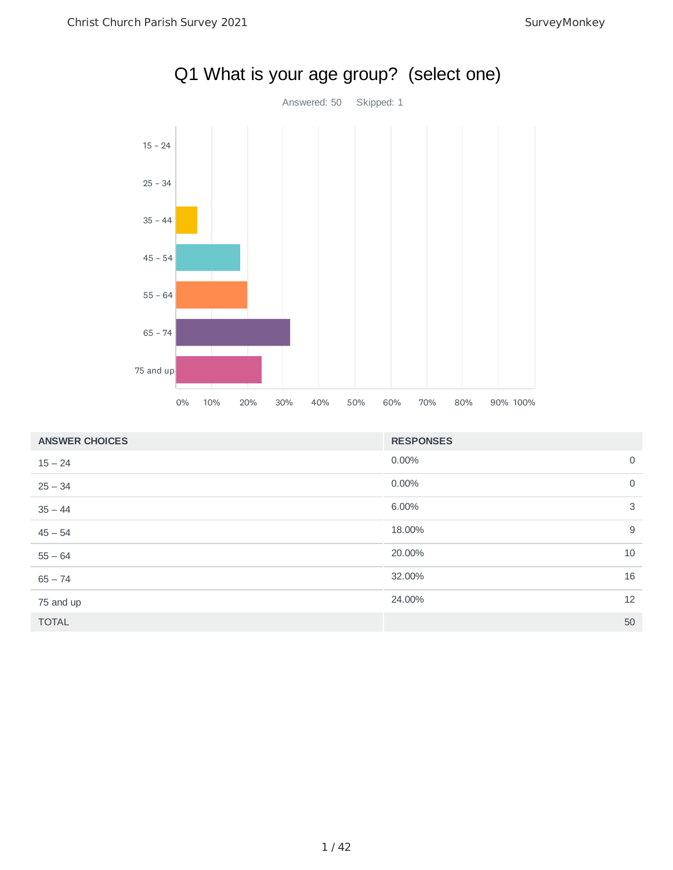

|  | Q1 What is your age group? (select one) |  |
|--|-----------------------------------------|--|
|--|-----------------------------------------|--|

| <b>ANSWER CHOICES</b> | <b>RESPONSES</b> |                |
|-----------------------|------------------|----------------|
| $15 - 24$             | 0.00%            | $\mathbf 0$    |
| $25 - 34$             | 0.00%            | $\overline{0}$ |
| $35 - 44$             | 6.00%            | 3              |
| $45 - 54$             | 18.00%           | 9              |
| $55 - 64$             | 20.00%           | 10             |
| $65 - 74$             | 32.00%           | 16             |
| 75 and up             | 24.00%           | 12             |
| <b>TOTAL</b>          |                  | 50             |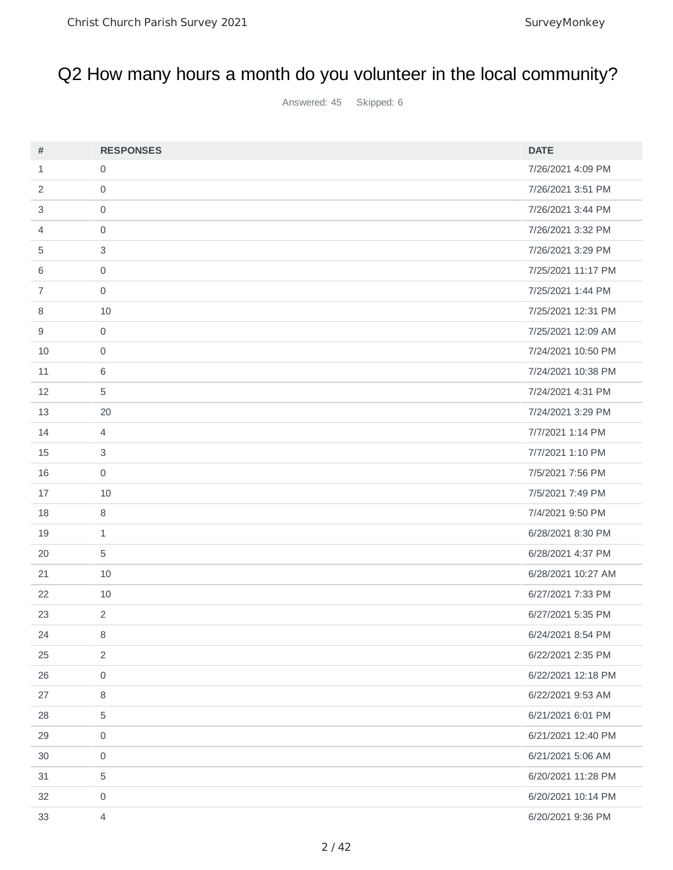### Q2 How many hours a month do you volunteer in the local community?

Answered: 45 Skipped: 6

| $\#$           | <b>RESPONSES</b>          | <b>DATE</b>        |
|----------------|---------------------------|--------------------|
| $\mathbf{1}$   | $\mathsf{O}$              | 7/26/2021 4:09 PM  |
| 2              | $\mathbf 0$               | 7/26/2021 3:51 PM  |
| 3              | $\mathsf{O}\xspace$       | 7/26/2021 3:44 PM  |
| 4              | $\mathsf{O}\xspace$       | 7/26/2021 3:32 PM  |
| 5              | $\ensuremath{\mathsf{3}}$ | 7/26/2021 3:29 PM  |
| 6              | $\mathsf{O}\xspace$       | 7/25/2021 11:17 PM |
| $\overline{7}$ | $\mathbf 0$               | 7/25/2021 1:44 PM  |
| 8              | 10                        | 7/25/2021 12:31 PM |
| 9              | $\mathsf{O}$              | 7/25/2021 12:09 AM |
| 10             | $\mathsf{O}$              | 7/24/2021 10:50 PM |
| 11             | 6                         | 7/24/2021 10:38 PM |
| 12             | 5                         | 7/24/2021 4:31 PM  |
| 13             | 20                        | 7/24/2021 3:29 PM  |
| 14             | $\overline{4}$            | 7/7/2021 1:14 PM   |
| 15             | $\ensuremath{\mathsf{3}}$ | 7/7/2021 1:10 PM   |
| 16             | $\mathsf{O}$              | 7/5/2021 7:56 PM   |
| 17             | 10                        | 7/5/2021 7:49 PM   |
| 18             | $\, 8$                    | 7/4/2021 9:50 PM   |
| 19             | $\mathbf{1}$              | 6/28/2021 8:30 PM  |
| 20             | $\mathbf 5$               | 6/28/2021 4:37 PM  |
| 21             | 10                        | 6/28/2021 10:27 AM |
| 22             | 10                        | 6/27/2021 7:33 PM  |
| 23             | $\overline{2}$            | 6/27/2021 5:35 PM  |
| 24             | 8                         | 6/24/2021 8:54 PM  |
| 25             | $\overline{2}$            | 6/22/2021 2:35 PM  |
| 26             | $\mathsf{O}\xspace$       | 6/22/2021 12:18 PM |
| 27             | 8                         | 6/22/2021 9:53 AM  |
| 28             | 5                         | 6/21/2021 6:01 PM  |
| 29             | 0                         | 6/21/2021 12:40 PM |
| 30             | $\mathsf{O}\xspace$       | 6/21/2021 5:06 AM  |
| 31             | $\mathbf 5$               | 6/20/2021 11:28 PM |
| 32             | $\mathsf{O}\xspace$       | 6/20/2021 10:14 PM |
| 33             | $\overline{4}$            | 6/20/2021 9:36 PM  |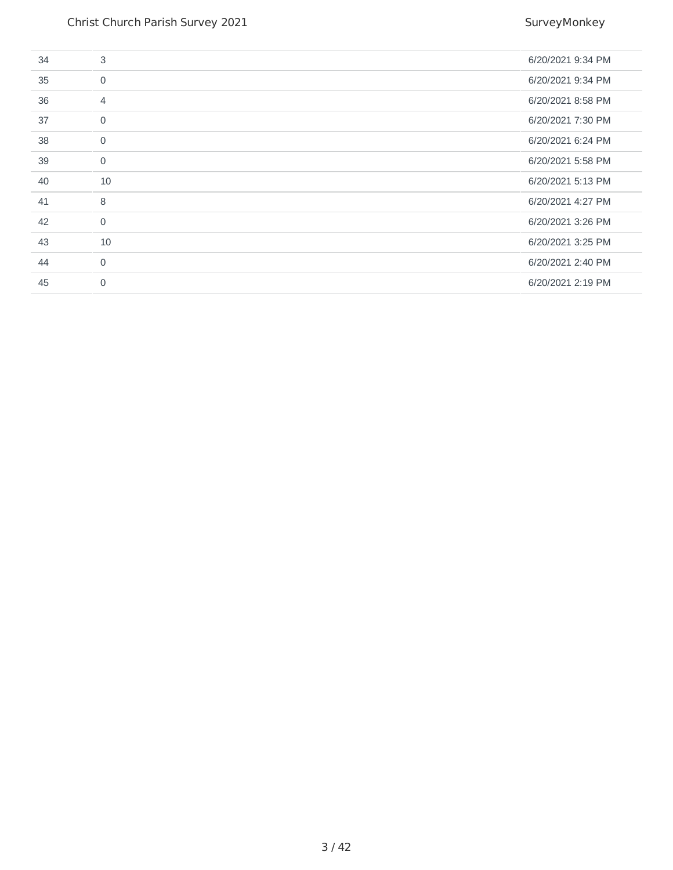| 34 | 3              | 6/20/2021 9:34 PM |
|----|----------------|-------------------|
| 35 | $\mathbf 0$    | 6/20/2021 9:34 PM |
| 36 | $\overline{4}$ | 6/20/2021 8:58 PM |
| 37 | $\mathbf 0$    | 6/20/2021 7:30 PM |
| 38 | $\mathbf 0$    | 6/20/2021 6:24 PM |
| 39 | $\mathbf 0$    | 6/20/2021 5:58 PM |
| 40 | 10             | 6/20/2021 5:13 PM |
| 41 | 8              | 6/20/2021 4:27 PM |
| 42 | $\mathbf{0}$   | 6/20/2021 3:26 PM |
| 43 | 10             | 6/20/2021 3:25 PM |
| 44 | 0              | 6/20/2021 2:40 PM |
|    |                |                   |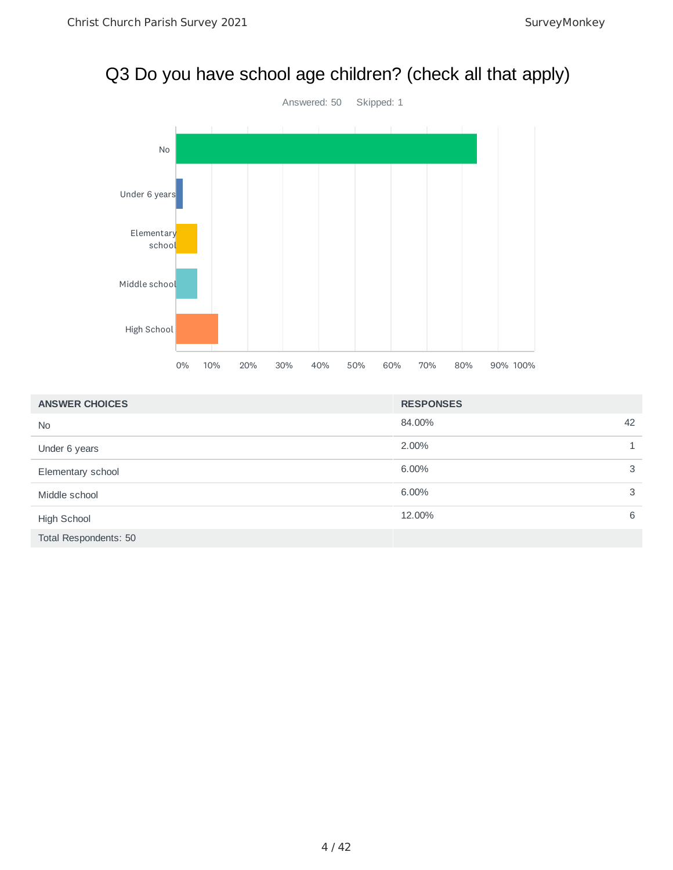# Q3 Do you have school age children? (check all that apply)



| <b>ANSWER CHOICES</b> | <b>RESPONSES</b> |    |
|-----------------------|------------------|----|
| <b>No</b>             | 84.00%           | 42 |
| Under 6 years         | 2.00%            |    |
| Elementary school     | 6.00%            | 3  |
| Middle school         | 6.00%            | 3  |
| High School           | 12.00%           | 6  |
| Total Respondents: 50 |                  |    |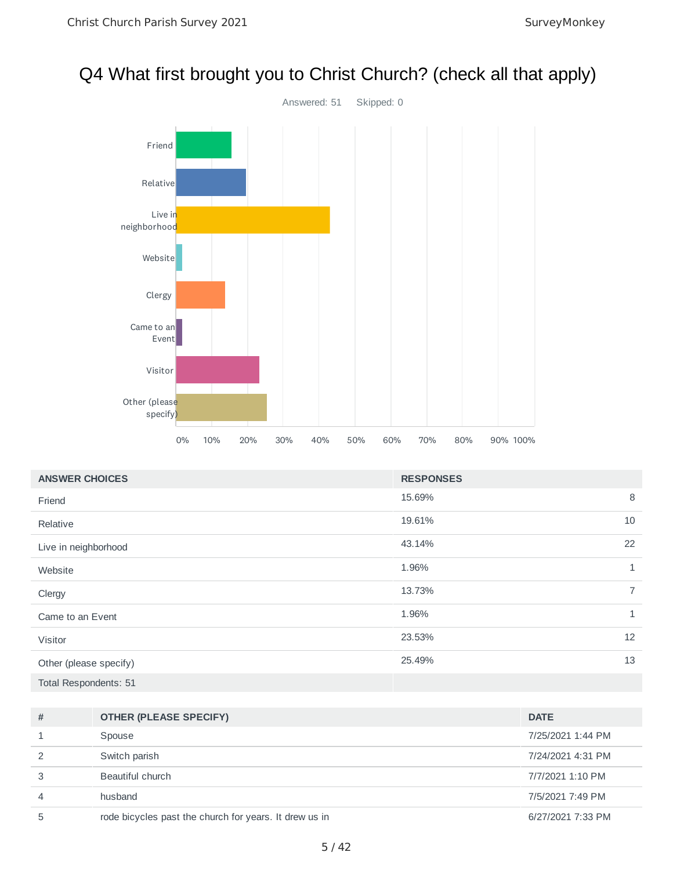#### Q4 What first brought you to Christ Church? (check all that apply)



| <b>ANSWER CHOICES</b>  | <b>RESPONSES</b> |                |
|------------------------|------------------|----------------|
| Friend                 | 15.69%           | 8              |
| Relative               | 19.61%           | 10             |
| Live in neighborhood   | 43.14%           | 22             |
| Website                | 1.96%            | $\mathbf{1}$   |
| Clergy                 | 13.73%           | $\overline{7}$ |
| Came to an Event       | 1.96%            | $\mathbf{1}$   |
| Visitor                | 23.53%           | 12             |
| Other (please specify) | 25.49%           | 13             |
| Total Respondents: 51  |                  |                |

| #              | <b>OTHER (PLEASE SPECIFY)</b>                          | <b>DATE</b>       |
|----------------|--------------------------------------------------------|-------------------|
| 1              | Spouse                                                 | 7/25/2021 1:44 PM |
| 2              | Switch parish                                          | 7/24/2021 4:31 PM |
| 3              | Beautiful church                                       | 7/7/2021 1:10 PM  |
| $\overline{4}$ | husband                                                | 7/5/2021 7:49 PM  |
| 5              | rode bicycles past the church for years. It drew us in | 6/27/2021 7:33 PM |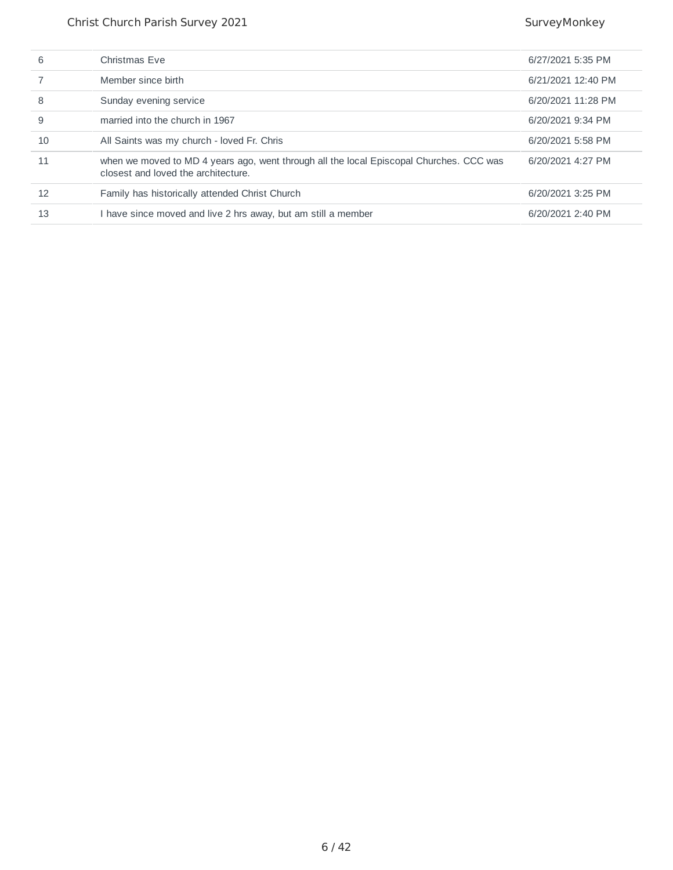| 6  | Christmas Eve                                                                                                                  | 6/27/2021 5:35 PM  |
|----|--------------------------------------------------------------------------------------------------------------------------------|--------------------|
|    | Member since birth                                                                                                             | 6/21/2021 12:40 PM |
| 8  | Sunday evening service                                                                                                         | 6/20/2021 11:28 PM |
| 9  | married into the church in 1967                                                                                                | 6/20/2021 9:34 PM  |
| 10 | All Saints was my church - loved Fr. Chris                                                                                     | 6/20/2021 5:58 PM  |
| 11 | when we moved to MD 4 years ago, went through all the local Episcopal Churches. CCC was<br>closest and loved the architecture. | 6/20/2021 4:27 PM  |
| 12 | Family has historically attended Christ Church                                                                                 | 6/20/2021 3:25 PM  |
| 13 | I have since moved and live 2 hrs away, but am still a member                                                                  | 6/20/2021 2:40 PM  |
|    |                                                                                                                                |                    |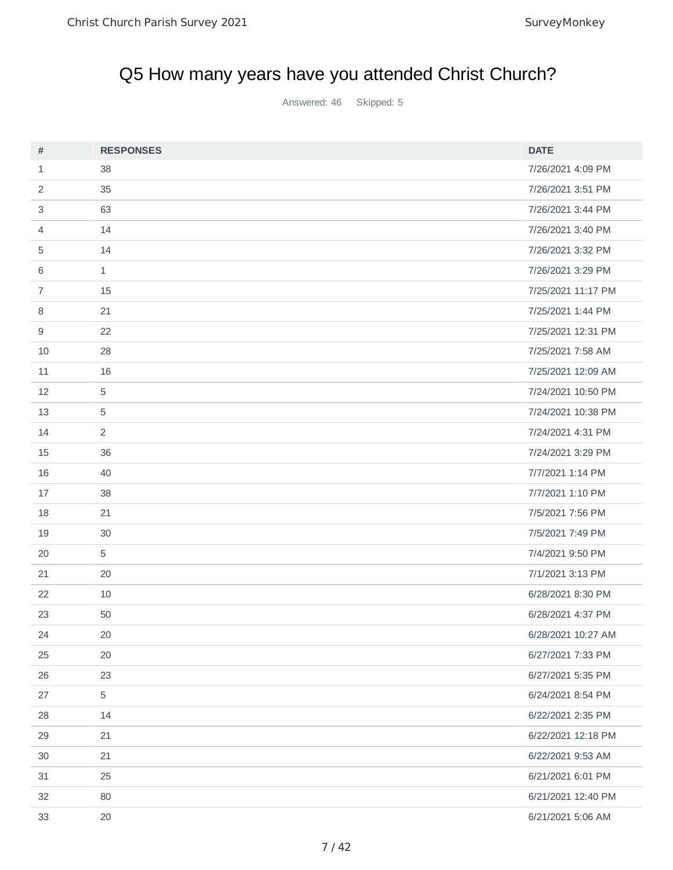# Q5 How many years have you attended Christ Church?

Answered: 46 Skipped: 5

| #              | <b>RESPONSES</b> | <b>DATE</b>        |
|----------------|------------------|--------------------|
| $\mathbf{1}$   | 38               | 7/26/2021 4:09 PM  |
| 2              | 35               | 7/26/2021 3:51 PM  |
| 3              | 63               | 7/26/2021 3:44 PM  |
| 4              | 14               | 7/26/2021 3:40 PM  |
| 5              | 14               | 7/26/2021 3:32 PM  |
| 6              | $\mathbf{1}$     | 7/26/2021 3:29 PM  |
| $\overline{7}$ | 15               | 7/25/2021 11:17 PM |
| 8              | 21               | 7/25/2021 1:44 PM  |
| 9              | 22               | 7/25/2021 12:31 PM |
| 10             | 28               | 7/25/2021 7:58 AM  |
| 11             | 16               | 7/25/2021 12:09 AM |
| 12             | 5                | 7/24/2021 10:50 PM |
| 13             | 5                | 7/24/2021 10:38 PM |
| 14             | $\overline{2}$   | 7/24/2021 4:31 PM  |
| 15             | 36               | 7/24/2021 3:29 PM  |
| 16             | 40               | 7/7/2021 1:14 PM   |
| 17             | 38               | 7/7/2021 1:10 PM   |
| 18             | 21               | 7/5/2021 7:56 PM   |
| 19             | 30               | 7/5/2021 7:49 PM   |
| 20             | 5                | 7/4/2021 9:50 PM   |
| 21             | 20               | 7/1/2021 3:13 PM   |
| 22             | 10               | 6/28/2021 8:30 PM  |
| 23             | 50               | 6/28/2021 4:37 PM  |
| 24             | $20\,$           | 6/28/2021 10:27 AM |
| 25             | 20               | 6/27/2021 7:33 PM  |
| 26             | 23               | 6/27/2021 5:35 PM  |
| 27             | 5                | 6/24/2021 8:54 PM  |
| 28             | 14               | 6/22/2021 2:35 PM  |
| 29             | 21               | 6/22/2021 12:18 PM |
| 30             | 21               | 6/22/2021 9:53 AM  |
| 31             | 25               | 6/21/2021 6:01 PM  |
| 32             | 80               | 6/21/2021 12:40 PM |
| 33             | 20               | 6/21/2021 5:06 AM  |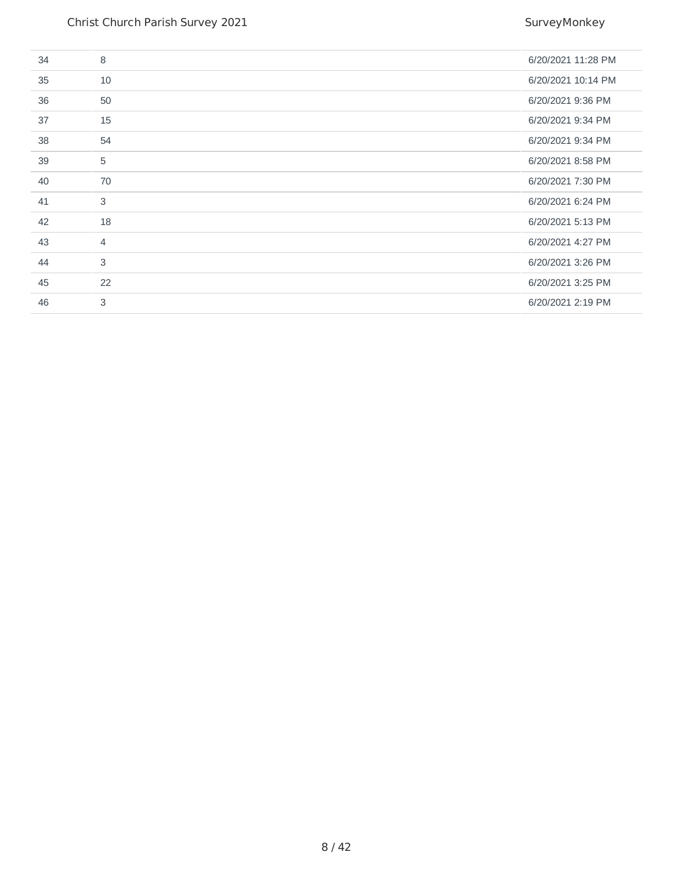| 34 | 8              | 6/20/2021 11:28 PM |
|----|----------------|--------------------|
| 35 | 10             | 6/20/2021 10:14 PM |
| 36 | 50             | 6/20/2021 9:36 PM  |
| 37 | 15             | 6/20/2021 9:34 PM  |
| 38 | 54             | 6/20/2021 9:34 PM  |
| 39 | 5              | 6/20/2021 8:58 PM  |
| 40 | 70             | 6/20/2021 7:30 PM  |
| 41 | 3              | 6/20/2021 6:24 PM  |
| 42 | 18             | 6/20/2021 5:13 PM  |
| 43 | $\overline{4}$ | 6/20/2021 4:27 PM  |
| 44 | 3              | 6/20/2021 3:26 PM  |
| 45 | 22             | 6/20/2021 3:25 PM  |
| 46 | 3              | 6/20/2021 2:19 PM  |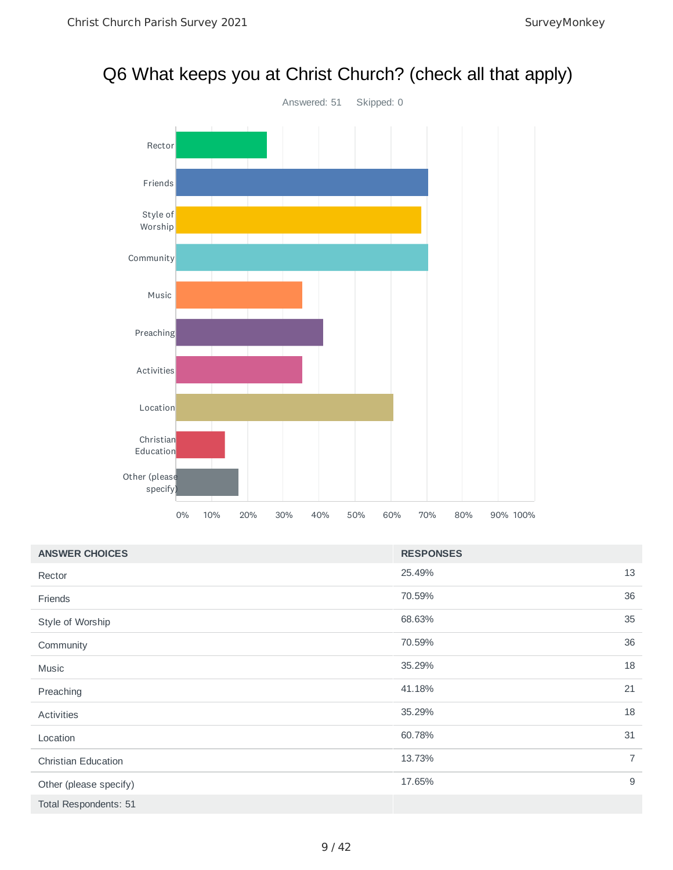#### Q6 What keeps you at Christ Church? (check all that apply)



| <b>ANSWER CHOICES</b>      | <b>RESPONSES</b> |                |
|----------------------------|------------------|----------------|
| Rector                     | 25.49%           | 13             |
| Friends                    | 70.59%           | 36             |
| Style of Worship           | 68.63%           | 35             |
| Community                  | 70.59%           | 36             |
| Music                      | 35.29%           | 18             |
| Preaching                  | 41.18%           | 21             |
| Activities                 | 35.29%           | 18             |
| Location                   | 60.78%           | 31             |
| <b>Christian Education</b> | 13.73%           | $\overline{7}$ |
| Other (please specify)     | 17.65%           | 9              |
| Total Respondents: 51      |                  |                |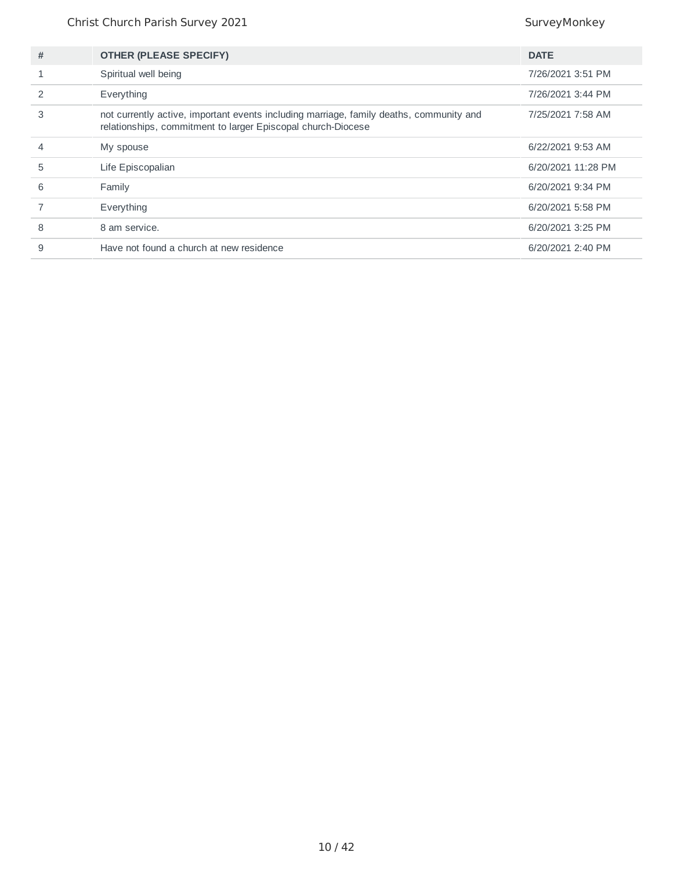| # | <b>OTHER (PLEASE SPECIFY)</b>                                                                                                                           | <b>DATE</b>        |
|---|---------------------------------------------------------------------------------------------------------------------------------------------------------|--------------------|
|   | Spiritual well being                                                                                                                                    | 7/26/2021 3:51 PM  |
|   | Everything                                                                                                                                              | 7/26/2021 3:44 PM  |
| 3 | not currently active, important events including marriage, family deaths, community and<br>relationships, commitment to larger Episcopal church-Diocese | 7/25/2021 7:58 AM  |
|   | My spouse                                                                                                                                               | 6/22/2021 9:53 AM  |
| 5 | Life Episcopalian                                                                                                                                       | 6/20/2021 11:28 PM |
| 6 | Family                                                                                                                                                  | 6/20/2021 9:34 PM  |
|   | Everything                                                                                                                                              | 6/20/2021 5:58 PM  |
| 8 | 8 am service.                                                                                                                                           | 6/20/2021 3:25 PM  |
| 9 | Have not found a church at new residence                                                                                                                | 6/20/2021 2:40 PM  |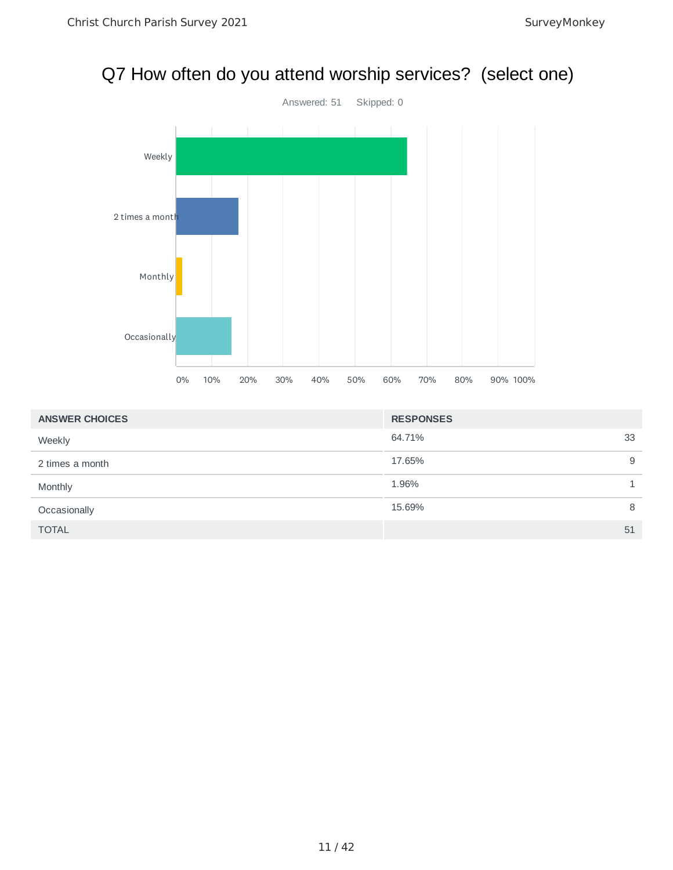#### Q7 How often do you attend worship services? (select one)



| <b>ANSWER CHOICES</b> | <b>RESPONSES</b> |    |
|-----------------------|------------------|----|
| Weekly                | 64.71%           | 33 |
| 2 times a month       | 17.65%           | 9  |
| Monthly               | 1.96%            |    |
| Occasionally          | 15.69%           | 8  |
| <b>TOTAL</b>          |                  | 51 |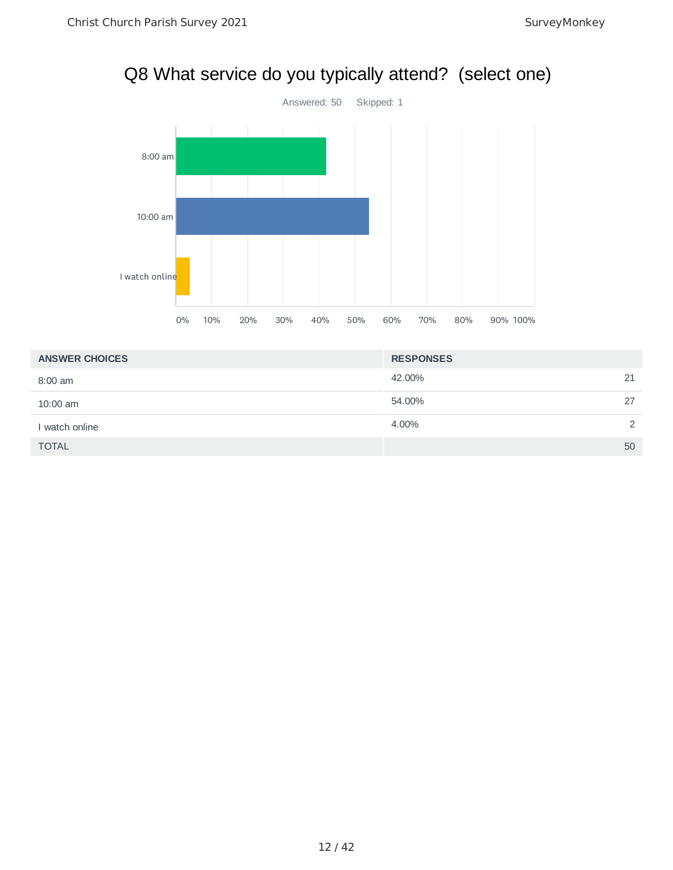#### Q8 What service do you typically attend? (select one)



| <b>ANSWER CHOICES</b> | <b>RESPONSES</b> |                |
|-----------------------|------------------|----------------|
| $8:00$ am             | 42.00%<br>21     |                |
| $10:00$ am            | 54.00%<br>27     |                |
| I watch online        | 4.00%            | $\overline{2}$ |
| <b>TOTAL</b>          | 50               |                |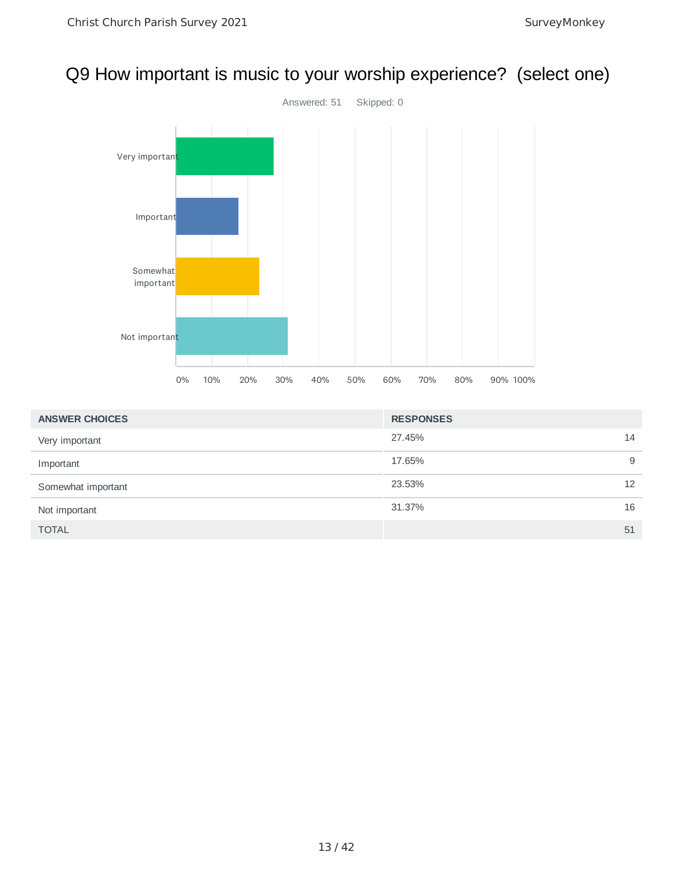#### Q9 How important is music to your worship experience? (select one)



| <b>ANSWER CHOICES</b> | <b>RESPONSES</b> |    |
|-----------------------|------------------|----|
| Very important        | 27.45%           | 14 |
| Important             | 17.65%           | 9  |
| Somewhat important    | 23.53%           | 12 |
| Not important         | 31.37%           | 16 |
| <b>TOTAL</b>          |                  | 51 |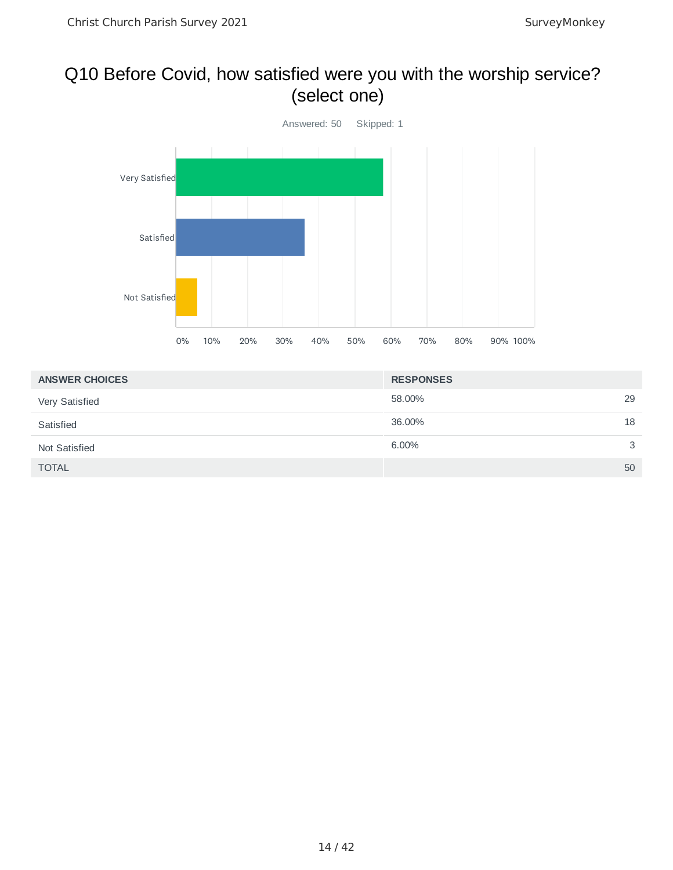## Q10 Before Covid, how satisfied were you with the worship service? (select one)



| <b>ANSWER CHOICES</b> | <b>RESPONSES</b> |
|-----------------------|------------------|
| Very Satisfied        | 29<br>58.00%     |
| Satisfied             | 18<br>36.00%     |
| Not Satisfied         | 6.00%<br>3       |
| <b>TOTAL</b>          | 50               |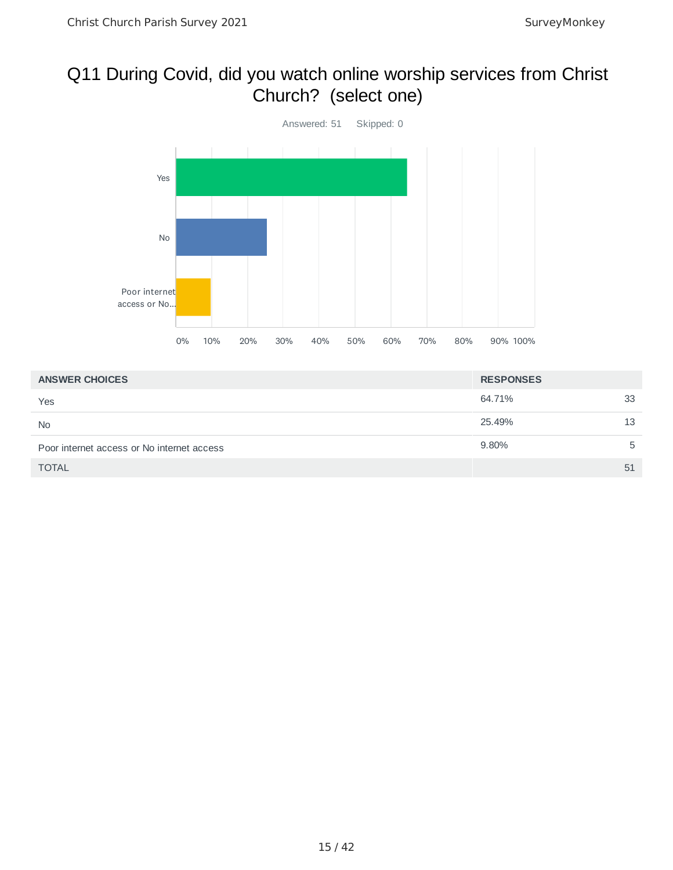#### Q11 During Covid, did you watch online worship services from Christ Church? (select one)



| <b>ANSWER CHOICES</b>                      | <b>RESPONSES</b> |    |
|--------------------------------------------|------------------|----|
| Yes                                        | 64.71%           | 33 |
| <b>No</b>                                  | 25.49%           | 13 |
| Poor internet access or No internet access | 9.80%            | 5  |
| <b>TOTAL</b>                               |                  | 51 |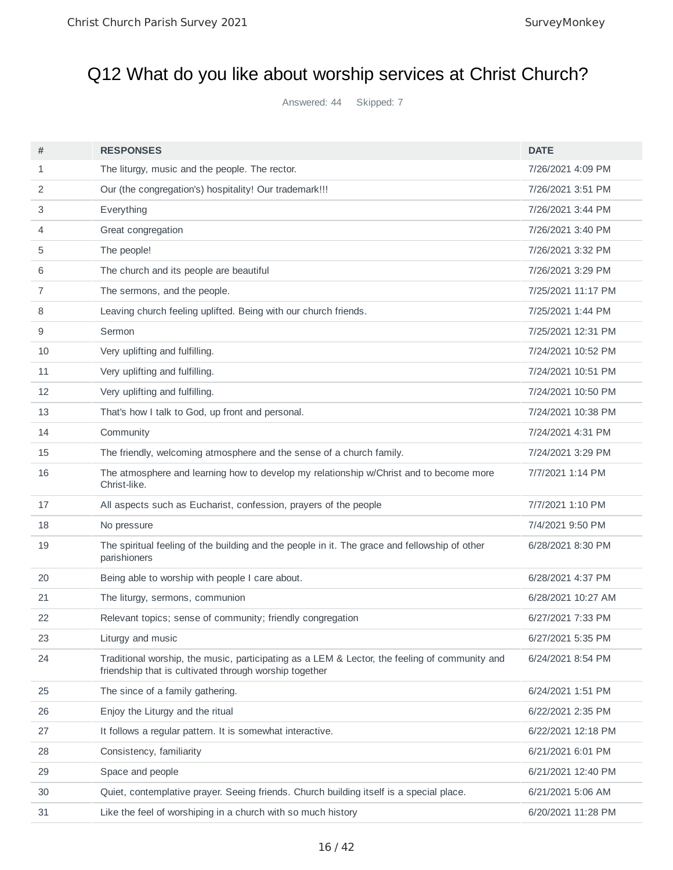# Q12 What do you like about worship services at Christ Church?

Answered: 44 Skipped: 7

| #            | <b>RESPONSES</b>                                                                                                                                        | <b>DATE</b>        |
|--------------|---------------------------------------------------------------------------------------------------------------------------------------------------------|--------------------|
| $\mathbf{1}$ | The liturgy, music and the people. The rector.                                                                                                          | 7/26/2021 4:09 PM  |
| 2            | Our (the congregation's) hospitality! Our trademark!!!                                                                                                  | 7/26/2021 3:51 PM  |
| 3            | Everything                                                                                                                                              | 7/26/2021 3:44 PM  |
| 4            | Great congregation                                                                                                                                      | 7/26/2021 3:40 PM  |
| 5            | The people!                                                                                                                                             | 7/26/2021 3:32 PM  |
| 6            | The church and its people are beautiful                                                                                                                 | 7/26/2021 3:29 PM  |
| 7            | The sermons, and the people.                                                                                                                            | 7/25/2021 11:17 PM |
| 8            | Leaving church feeling uplifted. Being with our church friends.                                                                                         | 7/25/2021 1:44 PM  |
| 9            | Sermon                                                                                                                                                  | 7/25/2021 12:31 PM |
| 10           | Very uplifting and fulfilling.                                                                                                                          | 7/24/2021 10:52 PM |
| 11           | Very uplifting and fulfilling.                                                                                                                          | 7/24/2021 10:51 PM |
| 12           | Very uplifting and fulfilling.                                                                                                                          | 7/24/2021 10:50 PM |
| 13           | That's how I talk to God, up front and personal.                                                                                                        | 7/24/2021 10:38 PM |
| 14           | Community                                                                                                                                               | 7/24/2021 4:31 PM  |
| 15           | The friendly, welcoming atmosphere and the sense of a church family.                                                                                    | 7/24/2021 3:29 PM  |
| 16           | The atmosphere and learning how to develop my relationship w/Christ and to become more<br>Christ-like.                                                  | 7/7/2021 1:14 PM   |
| 17           | All aspects such as Eucharist, confession, prayers of the people                                                                                        | 7/7/2021 1:10 PM   |
| 18           | No pressure                                                                                                                                             | 7/4/2021 9:50 PM   |
| 19           | The spiritual feeling of the building and the people in it. The grace and fellowship of other<br>parishioners                                           | 6/28/2021 8:30 PM  |
| 20           | Being able to worship with people I care about.                                                                                                         | 6/28/2021 4:37 PM  |
| 21           | The liturgy, sermons, communion                                                                                                                         | 6/28/2021 10:27 AM |
| 22           | Relevant topics; sense of community; friendly congregation                                                                                              | 6/27/2021 7:33 PM  |
| 23           | Liturgy and music                                                                                                                                       | 6/27/2021 5:35 PM  |
| 24           | Traditional worship, the music, participating as a LEM & Lector, the feeling of community and<br>friendship that is cultivated through worship together | 6/24/2021 8:54 PM  |
| 25           | The since of a family gathering.                                                                                                                        | 6/24/2021 1:51 PM  |
| 26           | Enjoy the Liturgy and the ritual                                                                                                                        | 6/22/2021 2:35 PM  |
| 27           | It follows a regular pattern. It is somewhat interactive.                                                                                               | 6/22/2021 12:18 PM |
| 28           | Consistency, familiarity                                                                                                                                | 6/21/2021 6:01 PM  |
| 29           | Space and people                                                                                                                                        | 6/21/2021 12:40 PM |
| 30           | Quiet, contemplative prayer. Seeing friends. Church building itself is a special place.                                                                 | 6/21/2021 5:06 AM  |
| 31           | Like the feel of worshiping in a church with so much history                                                                                            | 6/20/2021 11:28 PM |
|              |                                                                                                                                                         |                    |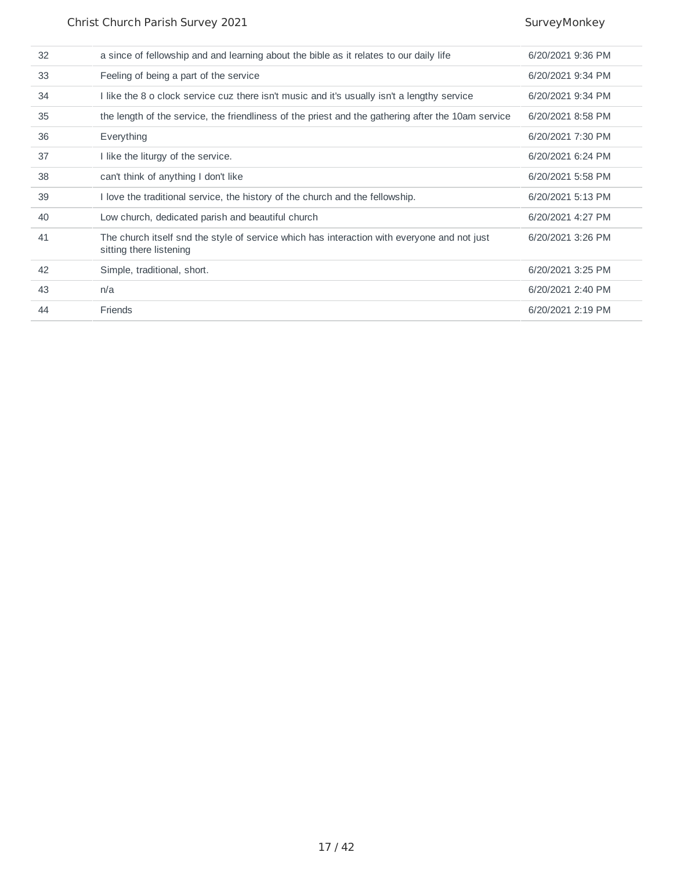| 32 | a since of fellowship and and learning about the bible as it relates to our daily life                                 | 6/20/2021 9:36 PM |
|----|------------------------------------------------------------------------------------------------------------------------|-------------------|
| 33 | Feeling of being a part of the service                                                                                 | 6/20/2021 9:34 PM |
| 34 | I like the 8 o clock service cuz there isn't music and it's usually isn't a lengthy service                            | 6/20/2021 9:34 PM |
| 35 | the length of the service, the friendliness of the priest and the gathering after the 10am service                     | 6/20/2021 8:58 PM |
| 36 | Everything                                                                                                             | 6/20/2021 7:30 PM |
| 37 | I like the liturgy of the service.                                                                                     | 6/20/2021 6:24 PM |
| 38 | can't think of anything I don't like                                                                                   | 6/20/2021 5:58 PM |
| 39 | I love the traditional service, the history of the church and the fellowship.                                          | 6/20/2021 5:13 PM |
| 40 | Low church, dedicated parish and beautiful church                                                                      | 6/20/2021 4:27 PM |
| 41 | The church itself snd the style of service which has interaction with everyone and not just<br>sitting there listening | 6/20/2021 3:26 PM |
| 42 | Simple, traditional, short.                                                                                            | 6/20/2021 3:25 PM |
| 43 | n/a                                                                                                                    | 6/20/2021 2:40 PM |
| 44 | Friends                                                                                                                | 6/20/2021 2:19 PM |
|    |                                                                                                                        |                   |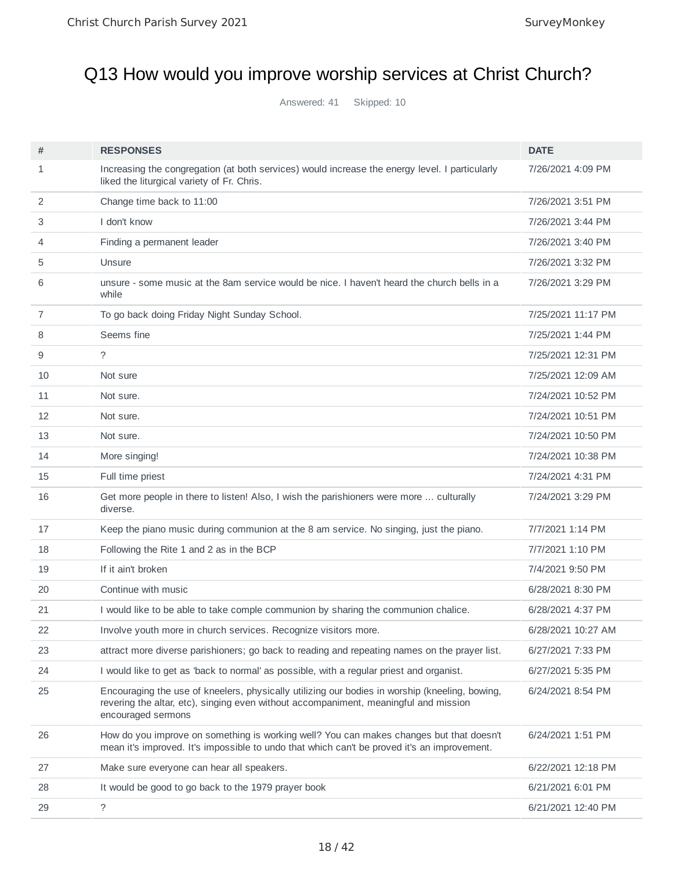# Q13 How would you improve worship services at Christ Church?

Answered: 41 Skipped: 10

| #  | <b>RESPONSES</b>                                                                                                                                                                                             | <b>DATE</b>        |
|----|--------------------------------------------------------------------------------------------------------------------------------------------------------------------------------------------------------------|--------------------|
| 1  | Increasing the congregation (at both services) would increase the energy level. I particularly<br>liked the liturgical variety of Fr. Chris.                                                                 | 7/26/2021 4:09 PM  |
| 2  | Change time back to 11:00                                                                                                                                                                                    | 7/26/2021 3:51 PM  |
| 3  | I don't know                                                                                                                                                                                                 | 7/26/2021 3:44 PM  |
| 4  | Finding a permanent leader                                                                                                                                                                                   | 7/26/2021 3:40 PM  |
| 5  | Unsure                                                                                                                                                                                                       | 7/26/2021 3:32 PM  |
| 6  | unsure - some music at the 8am service would be nice. I haven't heard the church bells in a<br>while                                                                                                         | 7/26/2021 3:29 PM  |
| 7  | To go back doing Friday Night Sunday School.                                                                                                                                                                 | 7/25/2021 11:17 PM |
| 8  | Seems fine                                                                                                                                                                                                   | 7/25/2021 1:44 PM  |
| 9  | $\tilde{?}$                                                                                                                                                                                                  | 7/25/2021 12:31 PM |
| 10 | Not sure                                                                                                                                                                                                     | 7/25/2021 12:09 AM |
| 11 | Not sure.                                                                                                                                                                                                    | 7/24/2021 10:52 PM |
| 12 | Not sure.                                                                                                                                                                                                    | 7/24/2021 10:51 PM |
| 13 | Not sure.                                                                                                                                                                                                    | 7/24/2021 10:50 PM |
| 14 | More singing!                                                                                                                                                                                                | 7/24/2021 10:38 PM |
| 15 | Full time priest                                                                                                                                                                                             | 7/24/2021 4:31 PM  |
| 16 | Get more people in there to listen! Also, I wish the parishioners were more  culturally<br>diverse.                                                                                                          | 7/24/2021 3:29 PM  |
| 17 | Keep the piano music during communion at the 8 am service. No singing, just the piano.                                                                                                                       | 7/7/2021 1:14 PM   |
| 18 | Following the Rite 1 and 2 as in the BCP                                                                                                                                                                     | 7/7/2021 1:10 PM   |
| 19 | If it ain't broken                                                                                                                                                                                           | 7/4/2021 9:50 PM   |
| 20 | Continue with music                                                                                                                                                                                          | 6/28/2021 8:30 PM  |
| 21 | I would like to be able to take comple communion by sharing the communion chalice.                                                                                                                           | 6/28/2021 4:37 PM  |
| 22 | Involve youth more in church services. Recognize visitors more.                                                                                                                                              | 6/28/2021 10:27 AM |
| 23 | attract more diverse parishioners; go back to reading and repeating names on the prayer list.                                                                                                                | 6/27/2021 7:33 PM  |
| 24 | I would like to get as 'back to normal' as possible, with a regular priest and organist.                                                                                                                     | 6/27/2021 5:35 PM  |
| 25 | Encouraging the use of kneelers, physically utilizing our bodies in worship (kneeling, bowing,<br>revering the altar, etc), singing even without accompaniment, meaningful and mission<br>encouraged sermons | 6/24/2021 8:54 PM  |
| 26 | How do you improve on something is working well? You can makes changes but that doesn't<br>mean it's improved. It's impossible to undo that which can't be proved it's an improvement.                       | 6/24/2021 1:51 PM  |
| 27 | Make sure everyone can hear all speakers.                                                                                                                                                                    | 6/22/2021 12:18 PM |
| 28 | It would be good to go back to the 1979 prayer book                                                                                                                                                          | 6/21/2021 6:01 PM  |
| 29 | $\tilde{?}$                                                                                                                                                                                                  | 6/21/2021 12:40 PM |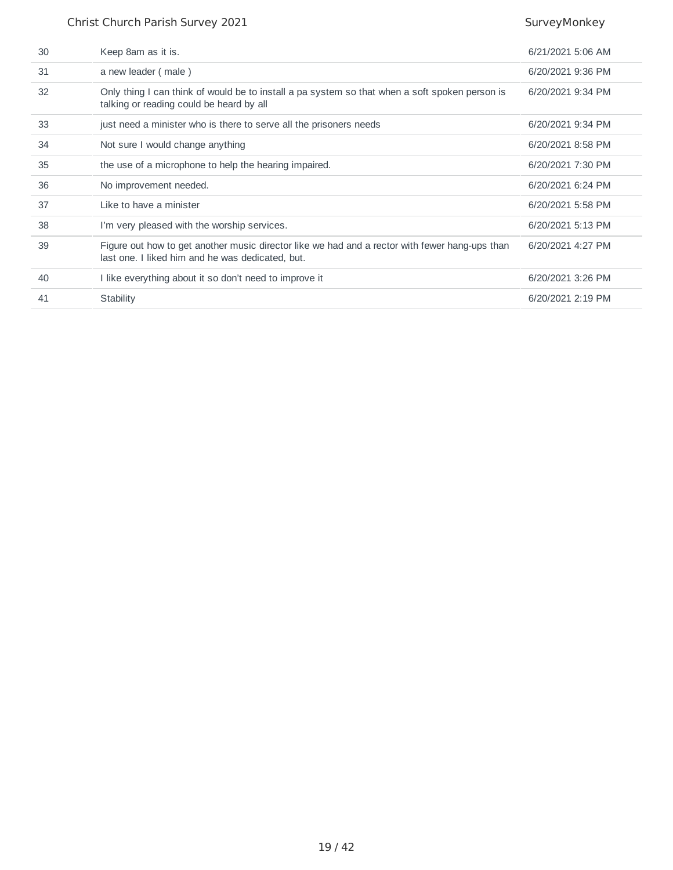#### Christ Church Parish Survey 2021 SurveyMonkey

| 30 | Keep 8am as it is.                                                                                                                                 | $6/21/2021$ 5:06 AM |
|----|----------------------------------------------------------------------------------------------------------------------------------------------------|---------------------|
| 31 | a new leader (male)                                                                                                                                | 6/20/2021 9:36 PM   |
| 32 | Only thing I can think of would be to install a pa system so that when a soft spoken person is<br>talking or reading could be heard by all         | 6/20/2021 9:34 PM   |
| 33 | just need a minister who is there to serve all the prisoners needs                                                                                 | 6/20/2021 9:34 PM   |
| 34 | Not sure I would change anything                                                                                                                   | 6/20/2021 8:58 PM   |
| 35 | the use of a microphone to help the hearing impaired.                                                                                              | 6/20/2021 7:30 PM   |
| 36 | No improvement needed.                                                                                                                             | 6/20/2021 6:24 PM   |
| 37 | Like to have a minister                                                                                                                            | 6/20/2021 5:58 PM   |
| 38 | I'm very pleased with the worship services.                                                                                                        | 6/20/2021 5:13 PM   |
| 39 | Figure out how to get another music director like we had and a rector with fewer hang-ups than<br>last one. I liked him and he was dedicated, but. | 6/20/2021 4:27 PM   |
| 40 | I like everything about it so don't need to improve it                                                                                             | 6/20/2021 3:26 PM   |
| 41 | Stability                                                                                                                                          | 6/20/2021 2:19 PM   |
|    |                                                                                                                                                    |                     |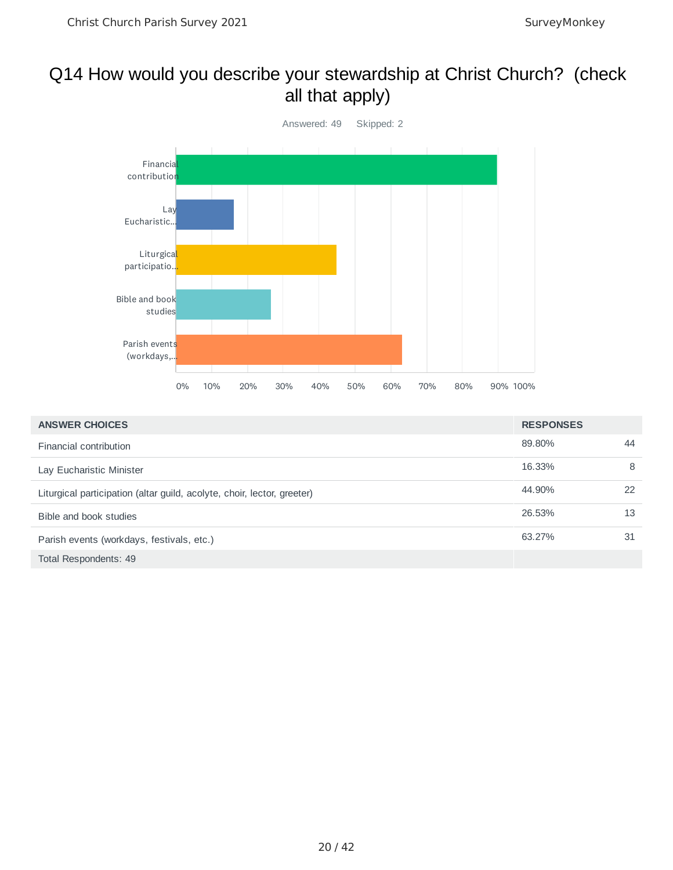#### Q14 How would you describe your stewardship at Christ Church? (check all that apply)



| <b>ANSWER CHOICES</b>                                                   | <b>RESPONSES</b> |    |
|-------------------------------------------------------------------------|------------------|----|
| Financial contribution                                                  | 89.80%           | 44 |
| Lay Eucharistic Minister                                                | 16.33%           | 8  |
| Liturgical participation (altar guild, acolyte, choir, lector, greeter) | 44.90%           | 22 |
| Bible and book studies                                                  | 26.53%           | 13 |
| Parish events (workdays, festivals, etc.)                               | 63.27%           | 31 |
| Total Respondents: 49                                                   |                  |    |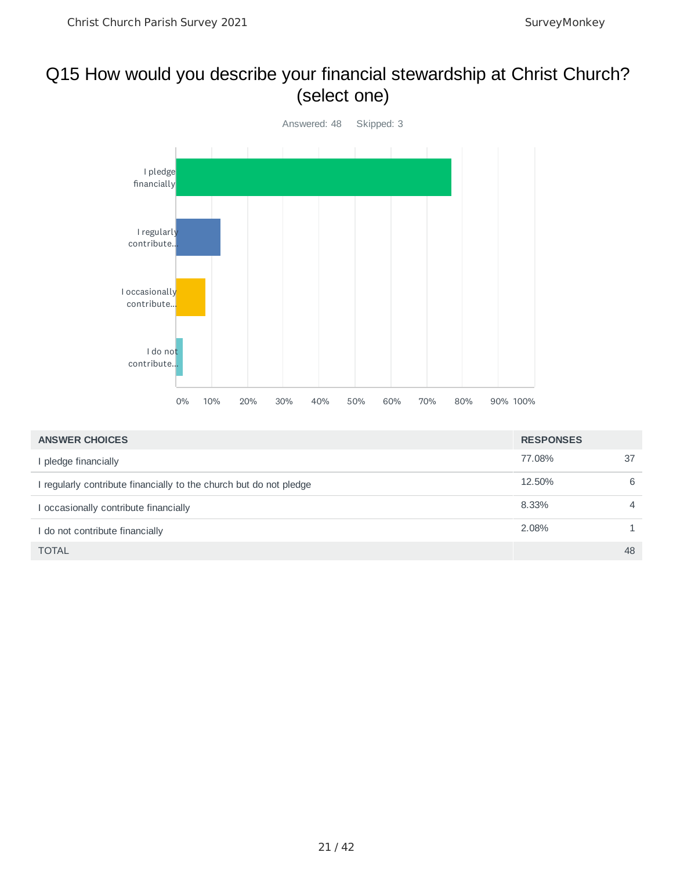#### Q15 How would you describe your financial stewardship at Christ Church? (select one)



| <b>ANSWER CHOICES</b>                                              | <b>RESPONSES</b> |                |
|--------------------------------------------------------------------|------------------|----------------|
| I pledge financially                                               | 77.08%           | 37             |
| I regularly contribute financially to the church but do not pledge | 12.50%           | 6              |
| occasionally contribute financially                                | 8.33%            | $\overline{4}$ |
| I do not contribute financially                                    | 2.08%            |                |
| <b>TOTAL</b>                                                       |                  | 48             |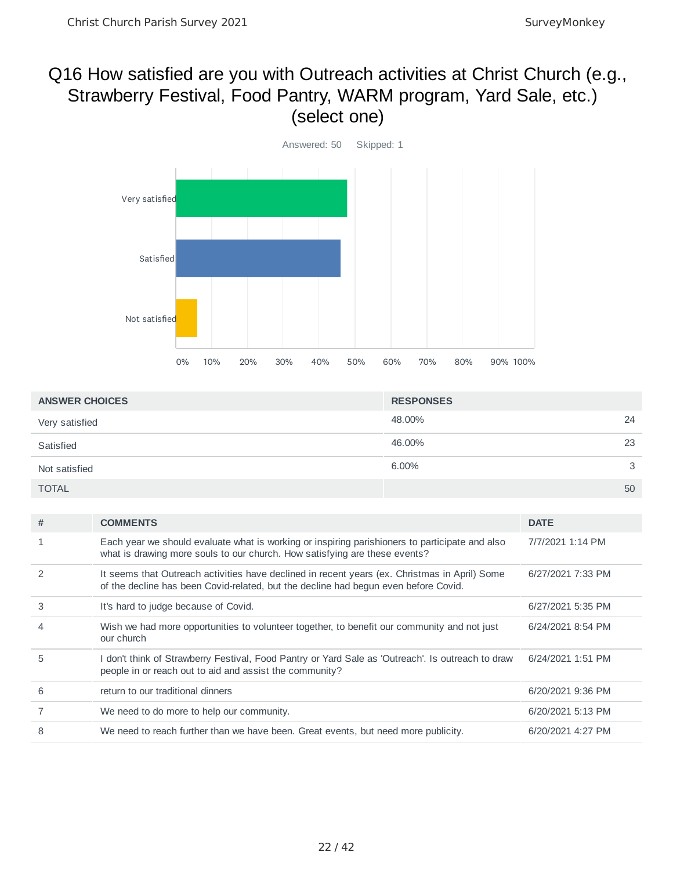#### Q16 How satisfied are you with Outreach activities at Christ Church (e.g., Strawberry Festival, Food Pantry, WARM program, Yard Sale, etc.) (select one)



| <b>ANSWER CHOICES</b> |                                                                                                                                                                                      | <b>RESPONSES</b> |                   |    |
|-----------------------|--------------------------------------------------------------------------------------------------------------------------------------------------------------------------------------|------------------|-------------------|----|
| Very satisfied        |                                                                                                                                                                                      | 48.00%           |                   | 24 |
| Satisfied             |                                                                                                                                                                                      | 46.00%           |                   | 23 |
| Not satisfied         |                                                                                                                                                                                      | $6.00\%$         |                   | 3  |
| <b>TOTAL</b>          |                                                                                                                                                                                      |                  |                   | 50 |
|                       |                                                                                                                                                                                      |                  |                   |    |
| #                     | <b>COMMENTS</b>                                                                                                                                                                      |                  | <b>DATE</b>       |    |
| 1                     | Each year we should evaluate what is working or inspiring parishioners to participate and also<br>what is drawing more souls to our church. How satisfying are these events?         |                  | 7/7/2021 1:14 PM  |    |
| 2                     | It seems that Outreach activities have declined in recent years (ex. Christmas in April) Some<br>of the decline has been Covid-related, but the decline had begun even before Covid. |                  | 6/27/2021 7:33 PM |    |
| 3                     | It's hard to judge because of Covid.                                                                                                                                                 |                  | 6/27/2021 5:35 PM |    |
| 4                     | Wish we had more opportunities to volunteer together, to benefit our community and not just<br>our church                                                                            |                  | 6/24/2021 8:54 PM |    |
| 5                     | I don't think of Strawberry Festival, Food Pantry or Yard Sale as 'Outreach'. Is outreach to draw<br>people in or reach out to aid and assist the community?                         |                  | 6/24/2021 1:51 PM |    |
| 6                     | return to our traditional dinners                                                                                                                                                    |                  | 6/20/2021 9:36 PM |    |
| $\overline{7}$        | We need to do more to help our community.                                                                                                                                            |                  | 6/20/2021 5:13 PM |    |
| 8                     | We need to reach further than we have been. Great events, but need more publicity.                                                                                                   |                  | 6/20/2021 4:27 PM |    |
|                       |                                                                                                                                                                                      |                  |                   |    |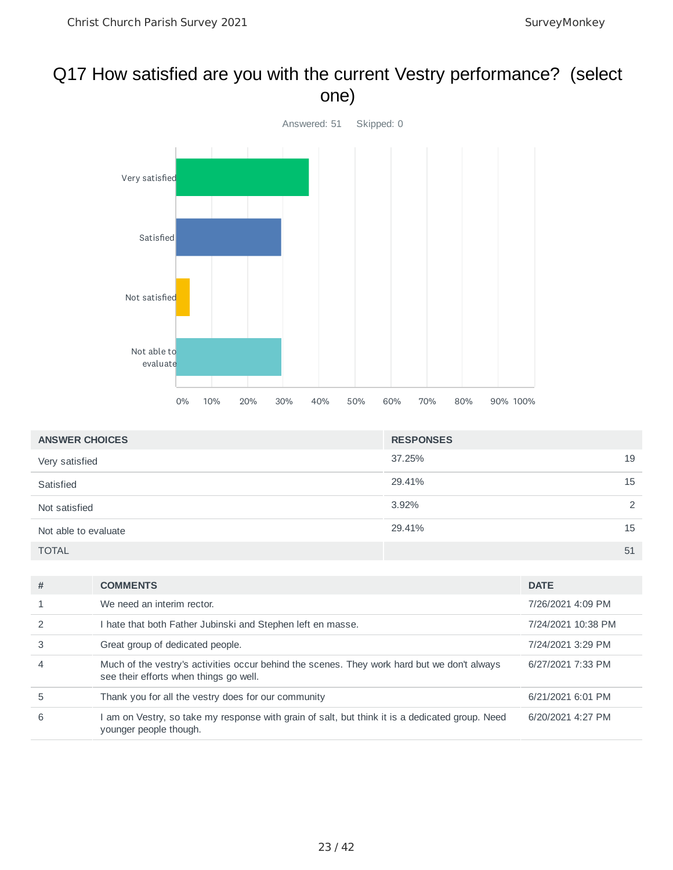#### Q17 How satisfied are you with the current Vestry performance? (select one)



| <b>ANSWER CHOICES</b> | <b>RESPONSES</b> |               |
|-----------------------|------------------|---------------|
| Very satisfied        | 37.25%           | 19            |
| Satisfied             | 29.41%           | 15            |
| Not satisfied         | 3.92%            | $\mathcal{P}$ |
| Not able to evaluate  | 29.41%           | 15            |
| <b>TOTAL</b>          |                  | 51            |

| #              | <b>COMMENTS</b>                                                                                                                       | <b>DATE</b>        |
|----------------|---------------------------------------------------------------------------------------------------------------------------------------|--------------------|
|                | We need an interim rector.                                                                                                            | 7/26/2021 4:09 PM  |
|                | I hate that both Father Jubinski and Stephen left en masse.                                                                           | 7/24/2021 10:38 PM |
| 3              | Great group of dedicated people.                                                                                                      | 7/24/2021 3:29 PM  |
| $\overline{4}$ | Much of the vestry's activities occur behind the scenes. They work hard but we don't always<br>see their efforts when things go well. | 6/27/2021 7:33 PM  |
| 5              | Thank you for all the vestry does for our community                                                                                   | 6/21/2021 6:01 PM  |
| 6              | am on Vestry, so take my response with grain of salt, but think it is a dedicated group. Need<br>younger people though.               | 6/20/2021 4:27 PM  |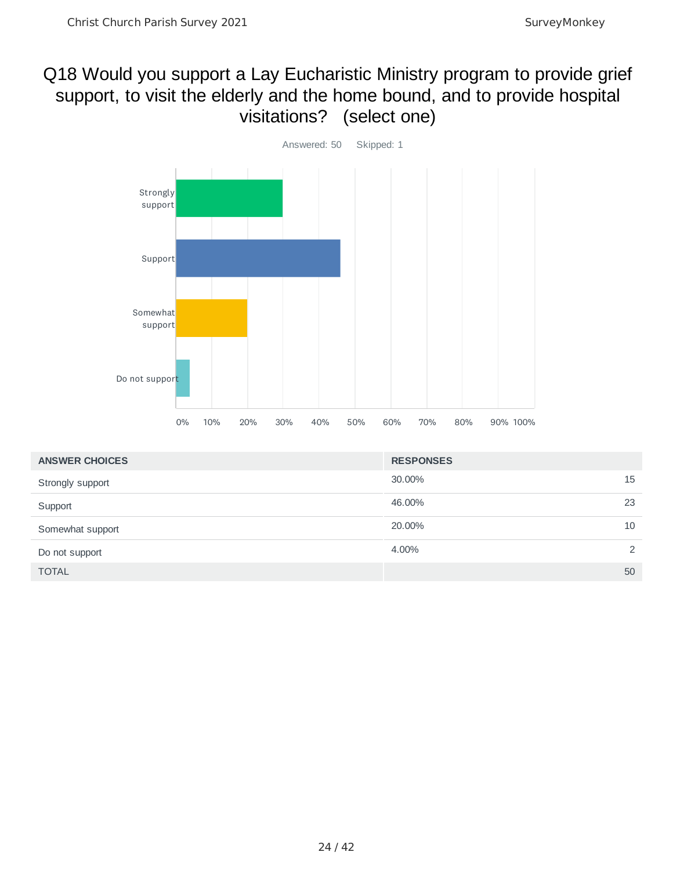#### Q18 Would you support a Lay Eucharistic Ministry program to provide grief support, to visit the elderly and the home bound, and to provide hospital visitations? (select one)



| <b>ANSWER CHOICES</b> | <b>RESPONSES</b> |    |
|-----------------------|------------------|----|
| Strongly support      | 30.00%           | 15 |
| Support               | 46.00%           | 23 |
| Somewhat support      | 20,00%           | 10 |
| Do not support        | 4.00%            | 2  |
| <b>TOTAL</b>          |                  | 50 |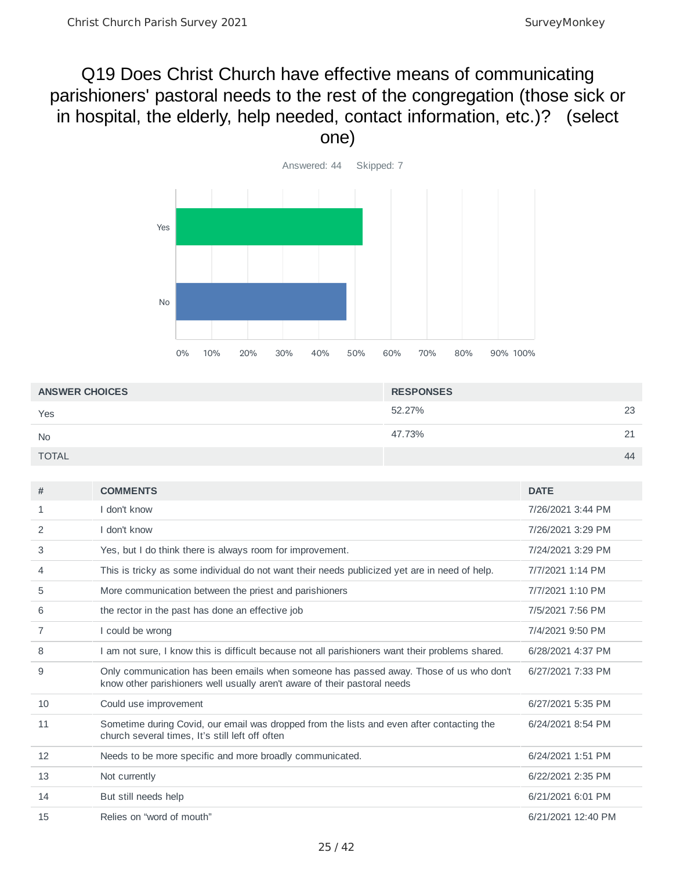#### Q19 Does Christ Church have effective means of communicating parishioners' pastoral needs to the rest of the congregation (those sick or in hospital, the elderly, help needed, contact information, etc.)? (select one)



| <b>ANSWER CHOICES</b> | <b>RESPONSES</b> |                  |
|-----------------------|------------------|------------------|
| Yes                   | 52.27%           | 23               |
| <b>No</b>             | 47.73%           | 21<br><u>_ _</u> |
| <b>TOTAL</b>          |                  | 44               |

| #  | <b>COMMENTS</b>                                                                                                                                                     | <b>DATE</b>        |
|----|---------------------------------------------------------------------------------------------------------------------------------------------------------------------|--------------------|
| 1  | I don't know                                                                                                                                                        | 7/26/2021 3:44 PM  |
| 2  | I don't know                                                                                                                                                        | 7/26/2021 3:29 PM  |
| 3  | Yes, but I do think there is always room for improvement.                                                                                                           | 7/24/2021 3:29 PM  |
| 4  | This is tricky as some individual do not want their needs publicized yet are in need of help.                                                                       | 7/7/2021 1:14 PM   |
| 5  | More communication between the priest and parishioners                                                                                                              | 7/7/2021 1:10 PM   |
| 6  | the rector in the past has done an effective job                                                                                                                    | 7/5/2021 7:56 PM   |
| 7  | I could be wrong                                                                                                                                                    | 7/4/2021 9:50 PM   |
| 8  | I am not sure, I know this is difficult because not all parishioners want their problems shared.                                                                    | 6/28/2021 4:37 PM  |
| 9  | Only communication has been emails when someone has passed away. Those of us who don't<br>know other parishioners well usually aren't aware of their pastoral needs | 6/27/2021 7:33 PM  |
| 10 | Could use improvement                                                                                                                                               | 6/27/2021 5:35 PM  |
| 11 | Sometime during Covid, our email was dropped from the lists and even after contacting the<br>church several times, It's still left off often                        | 6/24/2021 8:54 PM  |
| 12 | Needs to be more specific and more broadly communicated.                                                                                                            | 6/24/2021 1:51 PM  |
| 13 | Not currently                                                                                                                                                       | 6/22/2021 2:35 PM  |
| 14 | But still needs help                                                                                                                                                | 6/21/2021 6:01 PM  |
| 15 | Relies on "word of mouth"                                                                                                                                           | 6/21/2021 12:40 PM |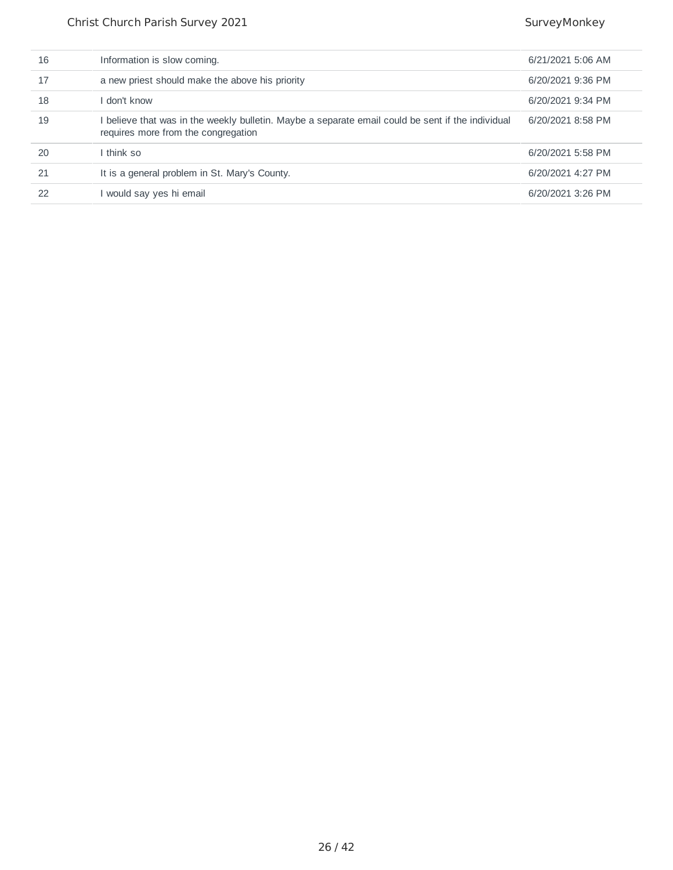| 16 | Information is slow coming.                                                                                                              | 6/21/2021 5:06 AM |
|----|------------------------------------------------------------------------------------------------------------------------------------------|-------------------|
| 17 | a new priest should make the above his priority                                                                                          | 6/20/2021 9:36 PM |
| 18 | l don't know                                                                                                                             | 6/20/2021 9:34 PM |
| 19 | l believe that was in the weekly bulletin. Maybe a separate email could be sent if the individual<br>requires more from the congregation | 6/20/2021 8:58 PM |
| 20 | I think so                                                                                                                               | 6/20/2021 5:58 PM |
| 21 | It is a general problem in St. Mary's County.                                                                                            | 6/20/2021 4:27 PM |
| 22 | I would say yes hi email                                                                                                                 | 6/20/2021 3:26 PM |
|    |                                                                                                                                          |                   |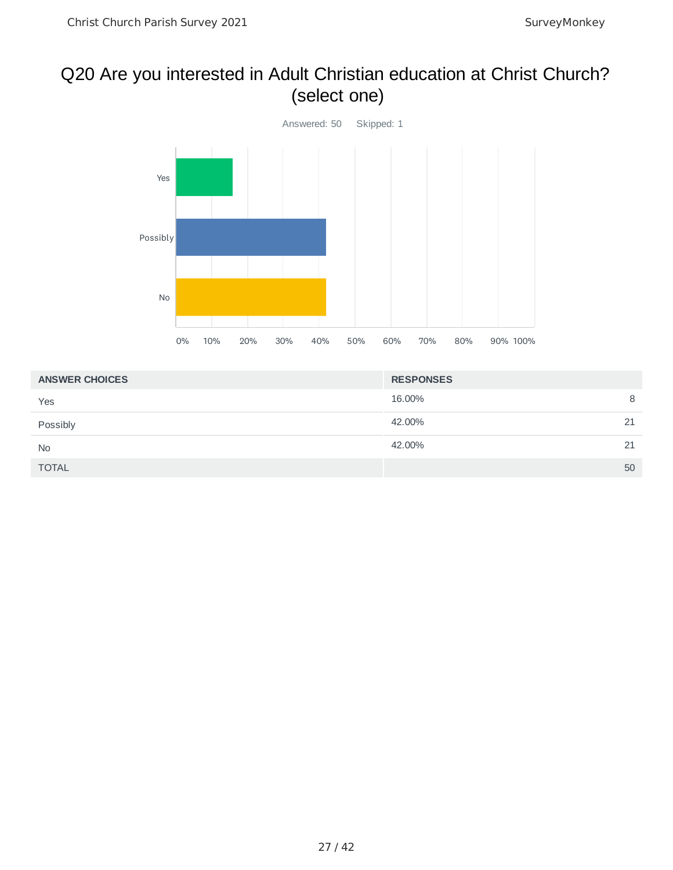#### Q20 Are you interested in Adult Christian education at Christ Church? (select one)



| <b>ANSWER CHOICES</b> | <b>RESPONSES</b> |    |
|-----------------------|------------------|----|
| Yes                   | 16.00%           | 8  |
| Possibly              | 42.00%           | 21 |
| <b>No</b>             | 42.00%           | 21 |
| <b>TOTAL</b>          |                  | 50 |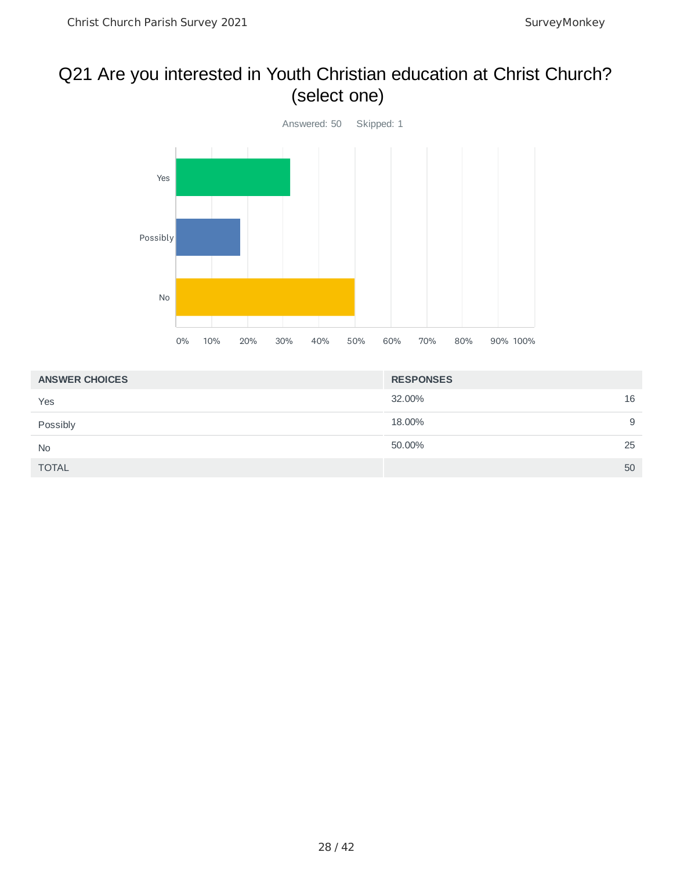#### Q21 Are you interested in Youth Christian education at Christ Church? (select one)



| <b>ANSWER CHOICES</b> | <b>RESPONSES</b> |
|-----------------------|------------------|
| Yes                   | 16<br>32.00%     |
| Possibly              | 18.00%<br>9      |
| <b>No</b>             | 25<br>50.00%     |
| <b>TOTAL</b>          | 50               |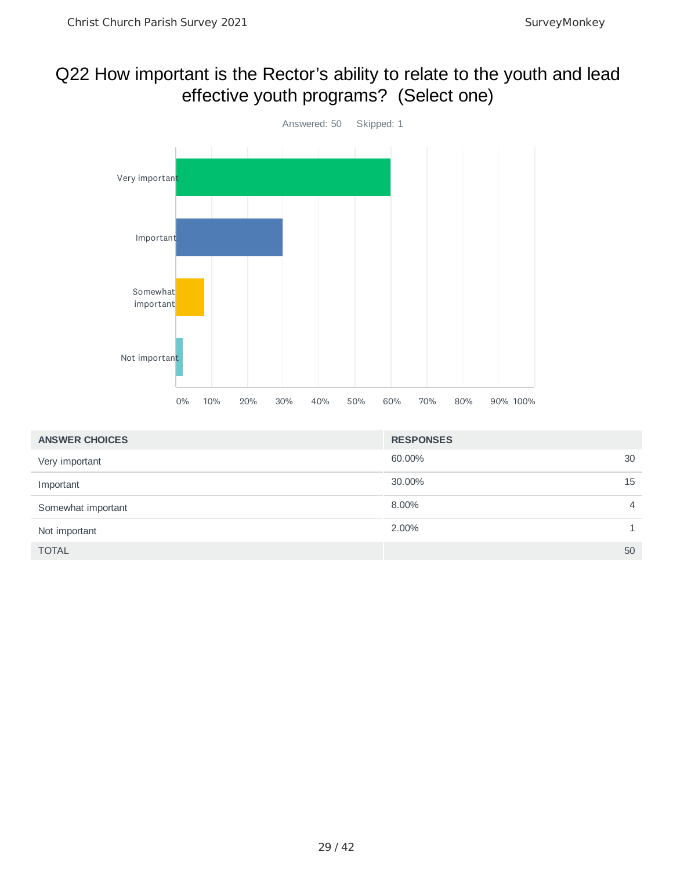#### Q22 How important is the Rector's ability to relate to the youth and lead effective youth programs? (Select one)



| <b>ANSWER CHOICES</b> | <b>RESPONSES</b> |                |
|-----------------------|------------------|----------------|
| Very important        | 60.00%           | 30             |
| Important             | 30.00%           | 15             |
| Somewhat important    | 8.00%            | $\overline{4}$ |
| Not important         | 2.00%            |                |
| <b>TOTAL</b>          |                  | 50             |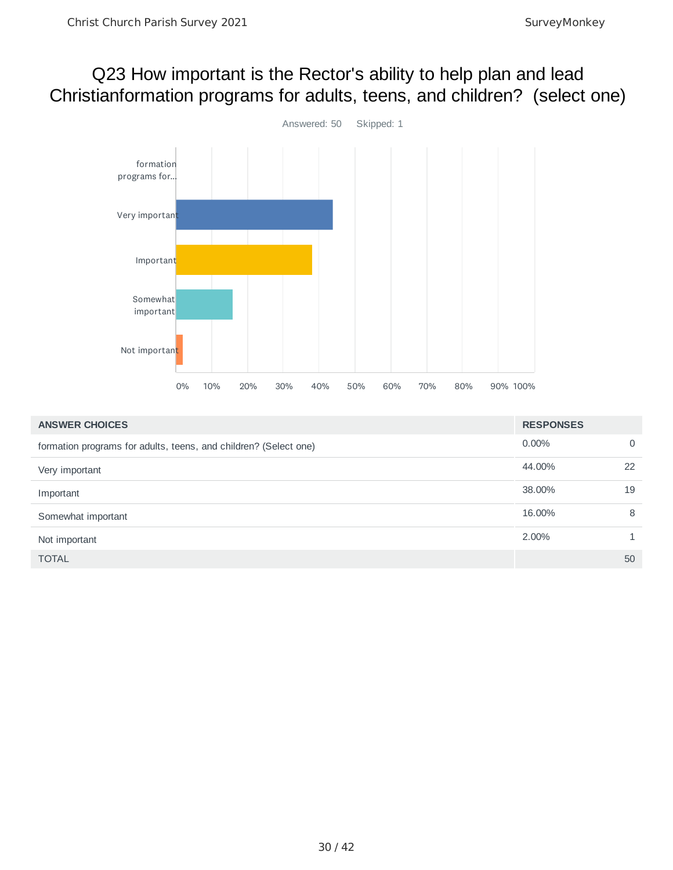#### Q23 How important is the Rector's ability to help plan and lead Christianformation programs for adults, teens, and children? (select one)



| <b>ANSWER CHOICES</b>                                            | <b>RESPONSES</b> |    |
|------------------------------------------------------------------|------------------|----|
| formation programs for adults, teens, and children? (Select one) | $0.00\%$         | 0  |
| Very important                                                   | 44.00%           | 22 |
| Important                                                        | 38.00%           | 19 |
| Somewhat important                                               | 16.00%           | 8  |
| Not important                                                    | 2.00%            |    |
| <b>TOTAL</b>                                                     |                  | 50 |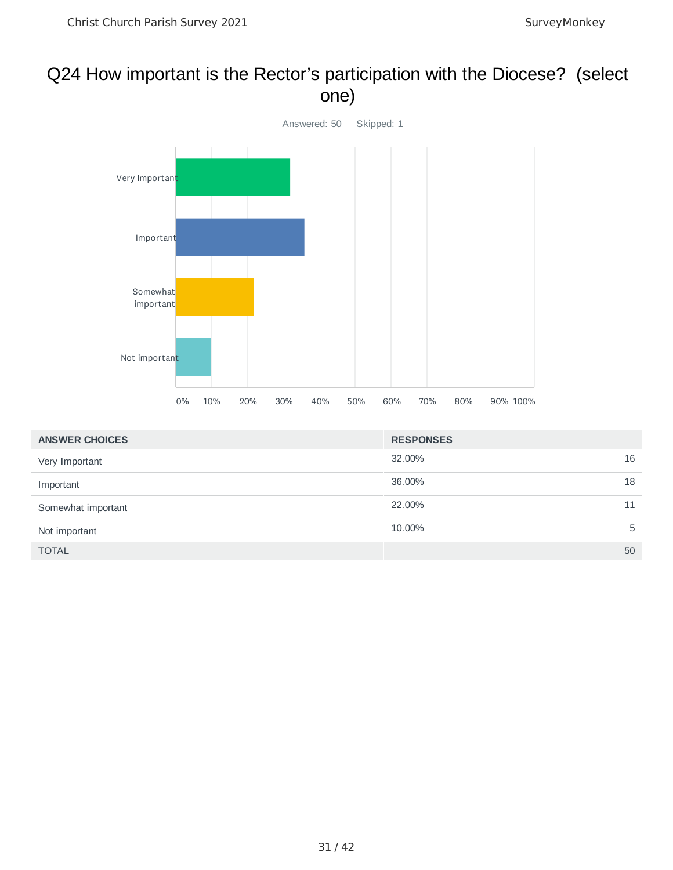#### Q24 How important is the Rector's participation with the Diocese? (select one)



| <b>ANSWER CHOICES</b> | <b>RESPONSES</b> |    |
|-----------------------|------------------|----|
| Very Important        | 32.00%           | 16 |
| Important             | 36.00%           | 18 |
| Somewhat important    | 22.00%           | 11 |
| Not important         | 10.00%           | 5  |
| <b>TOTAL</b>          |                  | 50 |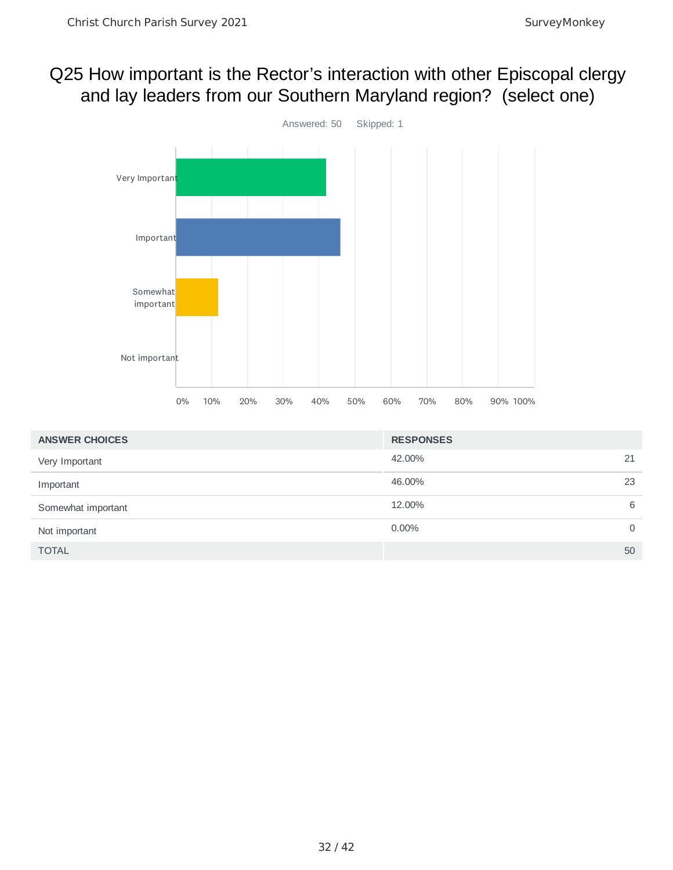#### Q25 How important is the Rector's interaction with other Episcopal clergy and lay leaders from our Southern Maryland region? (select one)



| <b>ANSWER CHOICES</b> | <b>RESPONSES</b> |             |
|-----------------------|------------------|-------------|
| Very Important        | 42.00%           | 21          |
| Important             | 46.00%           | 23          |
| Somewhat important    | 12.00%           | 6           |
| Not important         | $0.00\%$         | $\mathbf 0$ |
| <b>TOTAL</b>          |                  | 50          |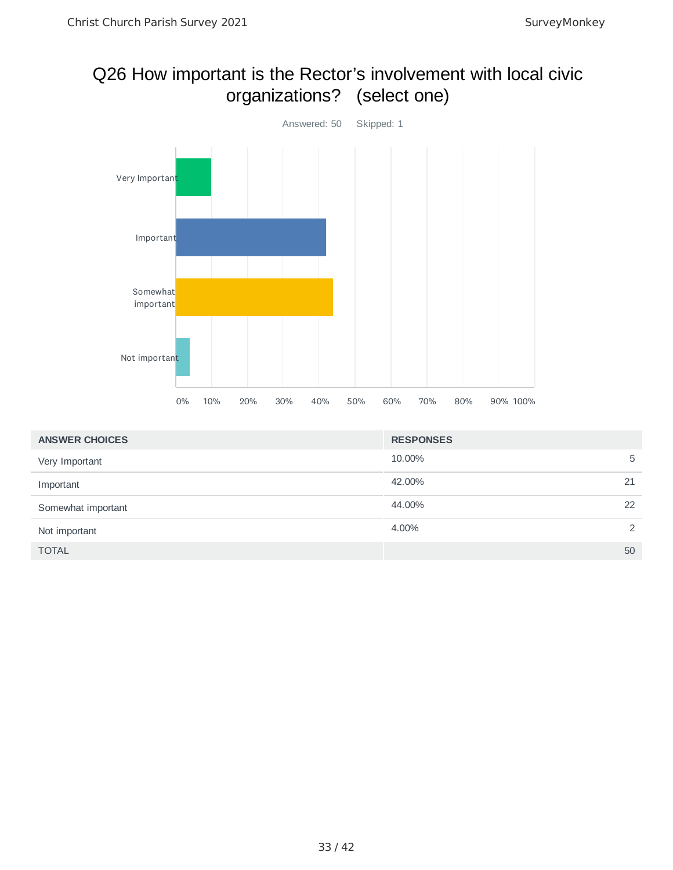#### Q26 How important is the Rector's involvement with local civic organizations? (select one)



| <b>ANSWER CHOICES</b> | <b>RESPONSES</b> |    |
|-----------------------|------------------|----|
| Very Important        | 10.00%           | 5  |
| Important             | 42.00%           | 21 |
| Somewhat important    | 44.00%           | 22 |
| Not important         | 4.00%            | 2  |
| <b>TOTAL</b>          |                  | 50 |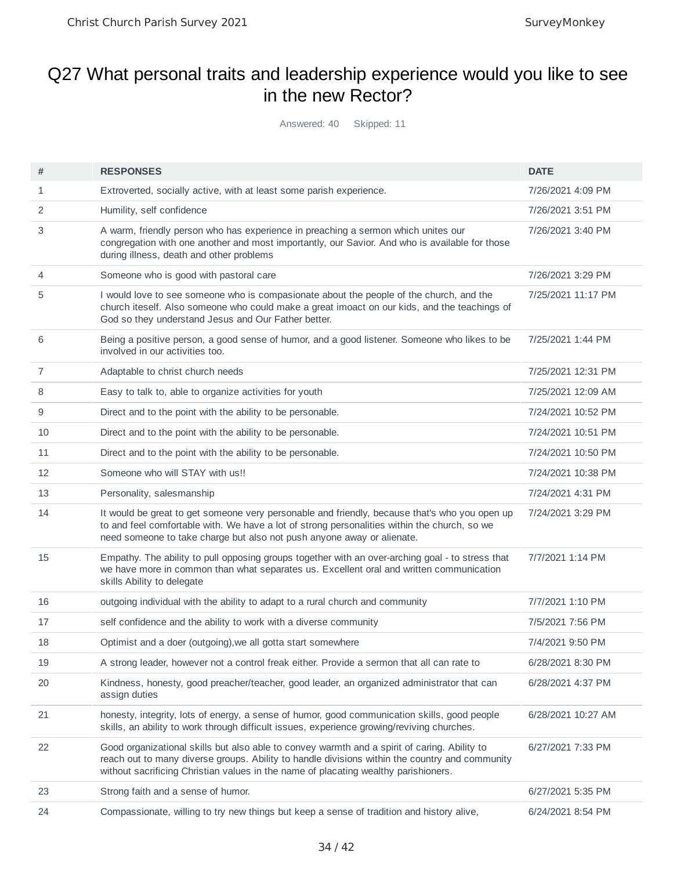## Q27 What personal traits and leadership experience would you like to see in the new Rector?

Answered: 40 Skipped: 11

| #  | <b>RESPONSES</b>                                                                                                                                                                                                                                                                      | <b>DATE</b>        |
|----|---------------------------------------------------------------------------------------------------------------------------------------------------------------------------------------------------------------------------------------------------------------------------------------|--------------------|
| 1  | Extroverted, socially active, with at least some parish experience.                                                                                                                                                                                                                   | 7/26/2021 4:09 PM  |
| 2  | Humility, self confidence                                                                                                                                                                                                                                                             | 7/26/2021 3:51 PM  |
| 3  | A warm, friendly person who has experience in preaching a sermon which unites our<br>congregation with one another and most importantly, our Savior. And who is available for those<br>during illness, death and other problems                                                       | 7/26/2021 3:40 PM  |
| 4  | Someone who is good with pastoral care                                                                                                                                                                                                                                                | 7/26/2021 3:29 PM  |
| 5  | I would love to see someone who is compasionate about the people of the church, and the<br>church iteself. Also someone who could make a great imoact on our kids, and the teachings of<br>God so they understand Jesus and Our Father better.                                        | 7/25/2021 11:17 PM |
| 6  | Being a positive person, a good sense of humor, and a good listener. Someone who likes to be<br>involved in our activities too.                                                                                                                                                       | 7/25/2021 1:44 PM  |
| 7  | Adaptable to christ church needs                                                                                                                                                                                                                                                      | 7/25/2021 12:31 PM |
| 8  | Easy to talk to, able to organize activities for youth                                                                                                                                                                                                                                | 7/25/2021 12:09 AM |
| 9  | Direct and to the point with the ability to be personable.                                                                                                                                                                                                                            | 7/24/2021 10:52 PM |
| 10 | Direct and to the point with the ability to be personable.                                                                                                                                                                                                                            | 7/24/2021 10:51 PM |
| 11 | Direct and to the point with the ability to be personable.                                                                                                                                                                                                                            | 7/24/2021 10:50 PM |
| 12 | Someone who will STAY with us!!                                                                                                                                                                                                                                                       | 7/24/2021 10:38 PM |
| 13 | Personality, salesmanship                                                                                                                                                                                                                                                             | 7/24/2021 4:31 PM  |
| 14 | It would be great to get someone very personable and friendly, because that's who you open up<br>to and feel comfortable with. We have a lot of strong personalities within the church, so we<br>need someone to take charge but also not push anyone away or alienate.               | 7/24/2021 3:29 PM  |
| 15 | Empathy. The ability to pull opposing groups together with an over-arching goal - to stress that<br>we have more in common than what separates us. Excellent oral and written communication<br>skills Ability to delegate                                                             | 7/7/2021 1:14 PM   |
| 16 | outgoing individual with the ability to adapt to a rural church and community                                                                                                                                                                                                         | 7/7/2021 1:10 PM   |
| 17 | self confidence and the ability to work with a diverse community                                                                                                                                                                                                                      | 7/5/2021 7:56 PM   |
| 18 | Optimist and a doer (outgoing), we all gotta start somewhere                                                                                                                                                                                                                          | 7/4/2021 9:50 PM   |
| 19 | A strong leader, however not a control freak either. Provide a sermon that all can rate to                                                                                                                                                                                            | 6/28/2021 8:30 PM  |
| 20 | Kindness, honesty, good preacher/teacher, good leader, an organized administrator that can<br>assign duties                                                                                                                                                                           | 6/28/2021 4:37 PM  |
| 21 | honesty, integrity, lots of energy, a sense of humor, good communication skills, good people<br>skills, an ability to work through difficult issues, experience growing/reviving churches.                                                                                            | 6/28/2021 10:27 AM |
| 22 | Good organizational skills but also able to convey warmth and a spirit of caring. Ability to<br>reach out to many diverse groups. Ability to handle divisions within the country and community<br>without sacrificing Christian values in the name of placating wealthy parishioners. | 6/27/2021 7:33 PM  |
| 23 | Strong faith and a sense of humor.                                                                                                                                                                                                                                                    | 6/27/2021 5:35 PM  |
| 24 | Compassionate, willing to try new things but keep a sense of tradition and history alive,                                                                                                                                                                                             | 6/24/2021 8:54 PM  |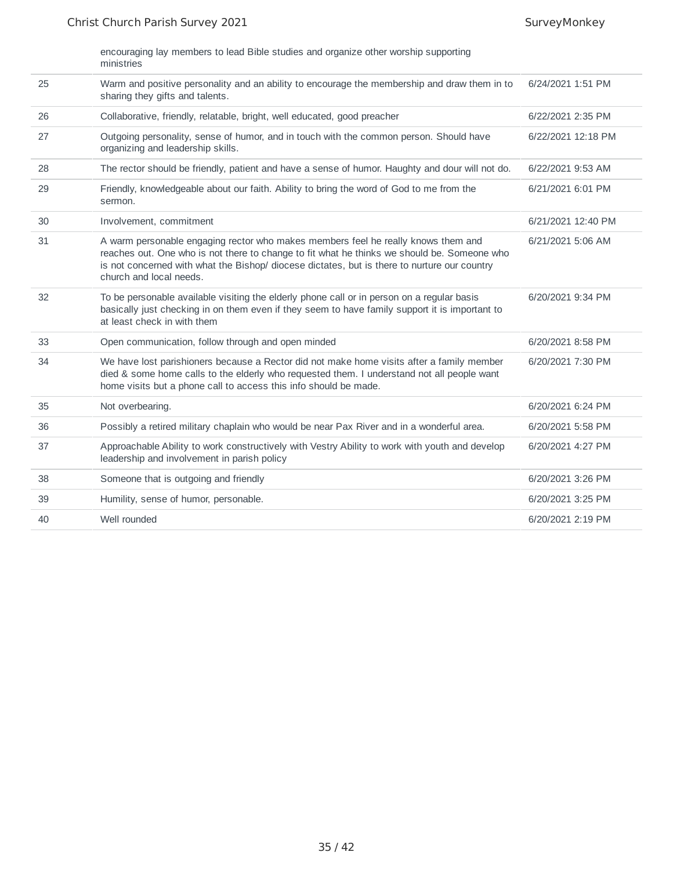encouraging lay members to lead Bible studies and organize other worship supporting ministries

| 25 | Warm and positive personality and an ability to encourage the membership and draw them in to<br>sharing they gifts and talents.                                                                                                                                                                             | 6/24/2021 1:51 PM  |
|----|-------------------------------------------------------------------------------------------------------------------------------------------------------------------------------------------------------------------------------------------------------------------------------------------------------------|--------------------|
| 26 | Collaborative, friendly, relatable, bright, well educated, good preacher                                                                                                                                                                                                                                    | 6/22/2021 2:35 PM  |
| 27 | Outgoing personality, sense of humor, and in touch with the common person. Should have<br>organizing and leadership skills.                                                                                                                                                                                 | 6/22/2021 12:18 PM |
| 28 | The rector should be friendly, patient and have a sense of humor. Haughty and dour will not do.                                                                                                                                                                                                             | 6/22/2021 9:53 AM  |
| 29 | Friendly, knowledgeable about our faith. Ability to bring the word of God to me from the<br>sermon.                                                                                                                                                                                                         | 6/21/2021 6:01 PM  |
| 30 | Involvement, commitment                                                                                                                                                                                                                                                                                     | 6/21/2021 12:40 PM |
| 31 | A warm personable engaging rector who makes members feel he really knows them and<br>reaches out. One who is not there to change to fit what he thinks we should be. Someone who<br>is not concerned with what the Bishop/ diocese dictates, but is there to nurture our country<br>church and local needs. | 6/21/2021 5:06 AM  |
| 32 | To be personable available visiting the elderly phone call or in person on a regular basis<br>basically just checking in on them even if they seem to have family support it is important to<br>at least check in with them                                                                                 | 6/20/2021 9:34 PM  |
| 33 | Open communication, follow through and open minded                                                                                                                                                                                                                                                          | 6/20/2021 8:58 PM  |
| 34 | We have lost parishioners because a Rector did not make home visits after a family member<br>died & some home calls to the elderly who requested them. I understand not all people want<br>home visits but a phone call to access this info should be made.                                                 | 6/20/2021 7:30 PM  |
| 35 | Not overbearing.                                                                                                                                                                                                                                                                                            | 6/20/2021 6:24 PM  |
| 36 | Possibly a retired military chaplain who would be near Pax River and in a wonderful area.                                                                                                                                                                                                                   | 6/20/2021 5:58 PM  |
| 37 | Approachable Ability to work constructively with Vestry Ability to work with youth and develop<br>leadership and involvement in parish policy                                                                                                                                                               | 6/20/2021 4:27 PM  |
| 38 | Someone that is outgoing and friendly                                                                                                                                                                                                                                                                       | 6/20/2021 3:26 PM  |
| 39 | Humility, sense of humor, personable.                                                                                                                                                                                                                                                                       | 6/20/2021 3:25 PM  |
| 40 | Well rounded                                                                                                                                                                                                                                                                                                | 6/20/2021 2:19 PM  |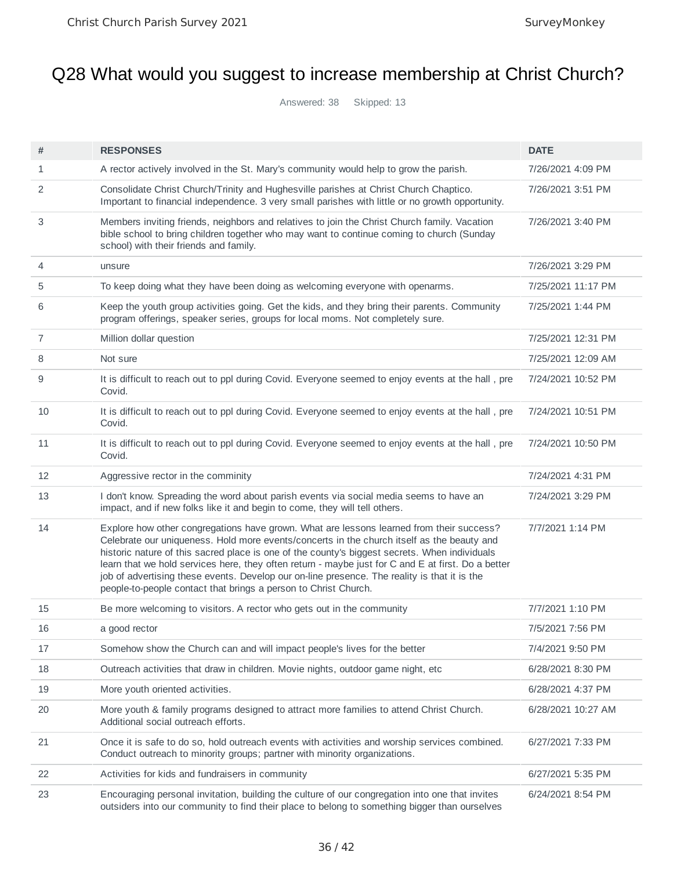# Q28 What would you suggest to increase membership at Christ Church?

Answered: 38 Skipped: 13

| #            | <b>RESPONSES</b>                                                                                                                                                                                                                                                                                                                                                                                                                                                                                                                                                 | <b>DATE</b>        |
|--------------|------------------------------------------------------------------------------------------------------------------------------------------------------------------------------------------------------------------------------------------------------------------------------------------------------------------------------------------------------------------------------------------------------------------------------------------------------------------------------------------------------------------------------------------------------------------|--------------------|
| $\mathbf{1}$ | A rector actively involved in the St. Mary's community would help to grow the parish.                                                                                                                                                                                                                                                                                                                                                                                                                                                                            | 7/26/2021 4:09 PM  |
| 2            | Consolidate Christ Church/Trinity and Hughesville parishes at Christ Church Chaptico.<br>Important to financial independence. 3 very small parishes with little or no growth opportunity.                                                                                                                                                                                                                                                                                                                                                                        | 7/26/2021 3:51 PM  |
| 3            | Members inviting friends, neighbors and relatives to join the Christ Church family. Vacation<br>bible school to bring children together who may want to continue coming to church (Sunday<br>school) with their friends and family.                                                                                                                                                                                                                                                                                                                              | 7/26/2021 3:40 PM  |
| 4            | unsure                                                                                                                                                                                                                                                                                                                                                                                                                                                                                                                                                           | 7/26/2021 3:29 PM  |
| 5            | To keep doing what they have been doing as welcoming everyone with openarms.                                                                                                                                                                                                                                                                                                                                                                                                                                                                                     | 7/25/2021 11:17 PM |
| 6            | Keep the youth group activities going. Get the kids, and they bring their parents. Community<br>program offerings, speaker series, groups for local moms. Not completely sure.                                                                                                                                                                                                                                                                                                                                                                                   | 7/25/2021 1:44 PM  |
| 7            | Million dollar question                                                                                                                                                                                                                                                                                                                                                                                                                                                                                                                                          | 7/25/2021 12:31 PM |
| 8            | Not sure                                                                                                                                                                                                                                                                                                                                                                                                                                                                                                                                                         | 7/25/2021 12:09 AM |
| 9            | It is difficult to reach out to ppl during Covid. Everyone seemed to enjoy events at the hall, pre<br>Covid.                                                                                                                                                                                                                                                                                                                                                                                                                                                     | 7/24/2021 10:52 PM |
| 10           | It is difficult to reach out to ppl during Covid. Everyone seemed to enjoy events at the hall, pre<br>Covid.                                                                                                                                                                                                                                                                                                                                                                                                                                                     | 7/24/2021 10:51 PM |
| 11           | It is difficult to reach out to ppl during Covid. Everyone seemed to enjoy events at the hall, pre<br>Covid.                                                                                                                                                                                                                                                                                                                                                                                                                                                     | 7/24/2021 10:50 PM |
| 12           | Aggressive rector in the comminity                                                                                                                                                                                                                                                                                                                                                                                                                                                                                                                               | 7/24/2021 4:31 PM  |
| 13           | I don't know. Spreading the word about parish events via social media seems to have an<br>impact, and if new folks like it and begin to come, they will tell others.                                                                                                                                                                                                                                                                                                                                                                                             | 7/24/2021 3:29 PM  |
| 14           | Explore how other congregations have grown. What are lessons learned from their success?<br>Celebrate our uniqueness. Hold more events/concerts in the church itself as the beauty and<br>historic nature of this sacred place is one of the county's biggest secrets. When individuals<br>learn that we hold services here, they often return - maybe just for C and E at first. Do a better<br>job of advertising these events. Develop our on-line presence. The reality is that it is the<br>people-to-people contact that brings a person to Christ Church. | 7/7/2021 1:14 PM   |
| 15           | Be more welcoming to visitors. A rector who gets out in the community                                                                                                                                                                                                                                                                                                                                                                                                                                                                                            | 7/7/2021 1:10 PM   |
| 16           | a good rector                                                                                                                                                                                                                                                                                                                                                                                                                                                                                                                                                    | 7/5/2021 7:56 PM   |
| 17           | Somehow show the Church can and will impact people's lives for the better                                                                                                                                                                                                                                                                                                                                                                                                                                                                                        | 7/4/2021 9:50 PM   |
| 18           | Outreach activities that draw in children. Movie nights, outdoor game night, etc.                                                                                                                                                                                                                                                                                                                                                                                                                                                                                | 6/28/2021 8:30 PM  |
| 19           | More youth oriented activities.                                                                                                                                                                                                                                                                                                                                                                                                                                                                                                                                  | 6/28/2021 4:37 PM  |
| 20           | More youth & family programs designed to attract more families to attend Christ Church.<br>Additional social outreach efforts.                                                                                                                                                                                                                                                                                                                                                                                                                                   | 6/28/2021 10:27 AM |
| 21           | Once it is safe to do so, hold outreach events with activities and worship services combined.<br>Conduct outreach to minority groups; partner with minority organizations.                                                                                                                                                                                                                                                                                                                                                                                       | 6/27/2021 7:33 PM  |
| 22           | Activities for kids and fundraisers in community                                                                                                                                                                                                                                                                                                                                                                                                                                                                                                                 | 6/27/2021 5:35 PM  |
| 23           | Encouraging personal invitation, building the culture of our congregation into one that invites<br>outsiders into our community to find their place to belong to something bigger than ourselves                                                                                                                                                                                                                                                                                                                                                                 | 6/24/2021 8:54 PM  |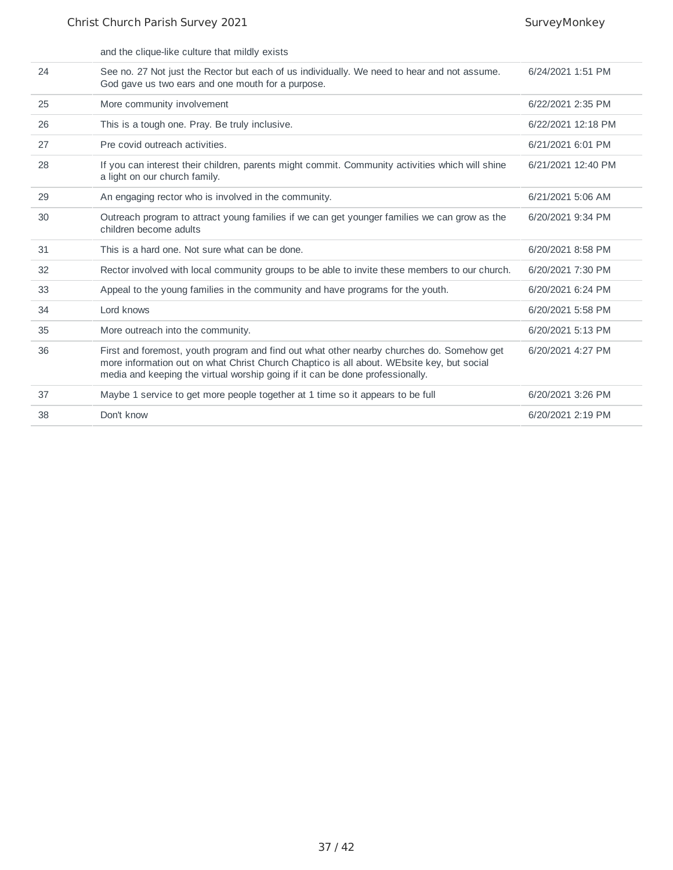|    | and the clique-like culture that mildly exists                                                                                                                                                                                                                          |                    |
|----|-------------------------------------------------------------------------------------------------------------------------------------------------------------------------------------------------------------------------------------------------------------------------|--------------------|
| 24 | See no. 27 Not just the Rector but each of us individually. We need to hear and not assume.<br>God gave us two ears and one mouth for a purpose.                                                                                                                        | 6/24/2021 1:51 PM  |
| 25 | More community involvement                                                                                                                                                                                                                                              | 6/22/2021 2:35 PM  |
| 26 | This is a tough one. Pray. Be truly inclusive.                                                                                                                                                                                                                          | 6/22/2021 12:18 PM |
| 27 | Pre covid outreach activities.                                                                                                                                                                                                                                          | 6/21/2021 6:01 PM  |
| 28 | If you can interest their children, parents might commit. Community activities which will shine<br>a light on our church family.                                                                                                                                        | 6/21/2021 12:40 PM |
| 29 | An engaging rector who is involved in the community.                                                                                                                                                                                                                    | 6/21/2021 5:06 AM  |
| 30 | Outreach program to attract young families if we can get younger families we can grow as the<br>children become adults                                                                                                                                                  | 6/20/2021 9:34 PM  |
| 31 | This is a hard one. Not sure what can be done.                                                                                                                                                                                                                          | 6/20/2021 8:58 PM  |
| 32 | Rector involved with local community groups to be able to invite these members to our church.                                                                                                                                                                           | 6/20/2021 7:30 PM  |
| 33 | Appeal to the young families in the community and have programs for the youth.                                                                                                                                                                                          | 6/20/2021 6:24 PM  |
| 34 | Lord knows                                                                                                                                                                                                                                                              | 6/20/2021 5:58 PM  |
| 35 | More outreach into the community.                                                                                                                                                                                                                                       | 6/20/2021 5:13 PM  |
| 36 | First and foremost, youth program and find out what other nearby churches do. Somehow get<br>more information out on what Christ Church Chaptico is all about. WEbsite key, but social<br>media and keeping the virtual worship going if it can be done professionally. | 6/20/2021 4:27 PM  |
| 37 | Maybe 1 service to get more people together at 1 time so it appears to be full                                                                                                                                                                                          | 6/20/2021 3:26 PM  |
| 38 | Don't know                                                                                                                                                                                                                                                              | 6/20/2021 2:19 PM  |
|    |                                                                                                                                                                                                                                                                         |                    |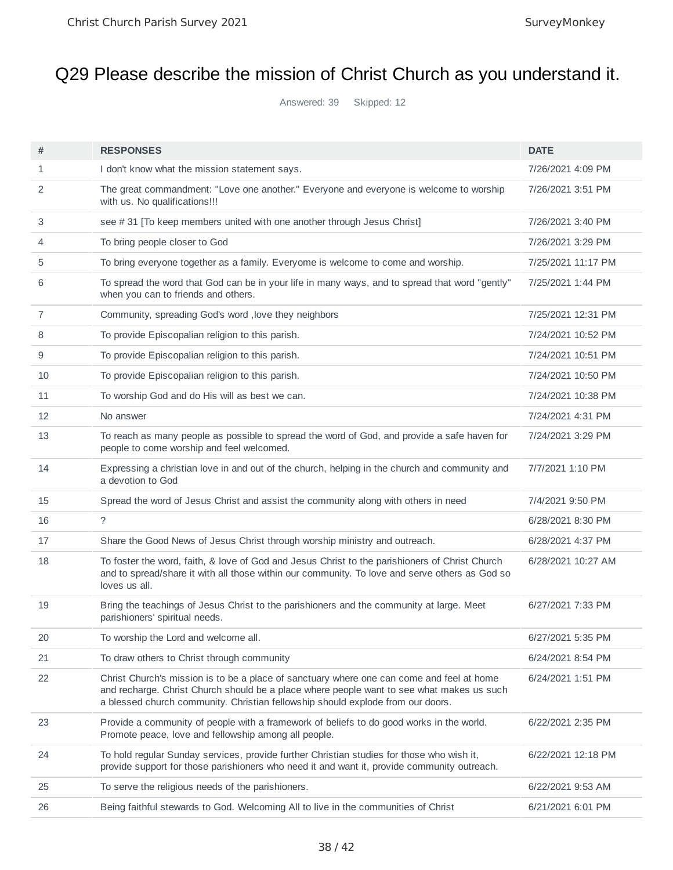# Q29 Please describe the mission of Christ Church as you understand it.

Answered: 39 Skipped: 12

| #              | <b>RESPONSES</b>                                                                                                                                                                                                                                                          | <b>DATE</b>        |
|----------------|---------------------------------------------------------------------------------------------------------------------------------------------------------------------------------------------------------------------------------------------------------------------------|--------------------|
| $\mathbf{1}$   | I don't know what the mission statement says.                                                                                                                                                                                                                             | 7/26/2021 4:09 PM  |
| 2              | The great commandment: "Love one another." Everyone and everyone is welcome to worship<br>with us. No qualifications!!!                                                                                                                                                   | 7/26/2021 3:51 PM  |
| 3              | see #31 [To keep members united with one another through Jesus Christ]                                                                                                                                                                                                    | 7/26/2021 3:40 PM  |
| 4              | To bring people closer to God                                                                                                                                                                                                                                             | 7/26/2021 3:29 PM  |
| 5              | To bring everyone together as a family. Everyome is welcome to come and worship.                                                                                                                                                                                          | 7/25/2021 11:17 PM |
| 6              | To spread the word that God can be in your life in many ways, and to spread that word "gently"<br>when you can to friends and others.                                                                                                                                     | 7/25/2021 1:44 PM  |
| $\overline{7}$ | Community, spreading God's word, love they neighbors                                                                                                                                                                                                                      | 7/25/2021 12:31 PM |
| 8              | To provide Episcopalian religion to this parish.                                                                                                                                                                                                                          | 7/24/2021 10:52 PM |
| 9              | To provide Episcopalian religion to this parish.                                                                                                                                                                                                                          | 7/24/2021 10:51 PM |
| 10             | To provide Episcopalian religion to this parish.                                                                                                                                                                                                                          | 7/24/2021 10:50 PM |
| 11             | To worship God and do His will as best we can.                                                                                                                                                                                                                            | 7/24/2021 10:38 PM |
| 12             | No answer                                                                                                                                                                                                                                                                 | 7/24/2021 4:31 PM  |
| 13             | To reach as many people as possible to spread the word of God, and provide a safe haven for<br>people to come worship and feel welcomed.                                                                                                                                  | 7/24/2021 3:29 PM  |
| 14             | Expressing a christian love in and out of the church, helping in the church and community and<br>a devotion to God                                                                                                                                                        | 7/7/2021 1:10 PM   |
| 15             | Spread the word of Jesus Christ and assist the community along with others in need                                                                                                                                                                                        | 7/4/2021 9:50 PM   |
| 16             | $\tilde{?}$                                                                                                                                                                                                                                                               | 6/28/2021 8:30 PM  |
| 17             | Share the Good News of Jesus Christ through worship ministry and outreach.                                                                                                                                                                                                | 6/28/2021 4:37 PM  |
| 18             | To foster the word, faith, & love of God and Jesus Christ to the parishioners of Christ Church<br>and to spread/share it with all those within our community. To love and serve others as God so<br>loves us all.                                                         | 6/28/2021 10:27 AM |
| 19             | Bring the teachings of Jesus Christ to the parishioners and the community at large. Meet<br>parishioners' spiritual needs.                                                                                                                                                | 6/27/2021 7:33 PM  |
| 20             | To worship the Lord and welcome all.                                                                                                                                                                                                                                      | 6/27/2021 5:35 PM  |
| 21             | To draw others to Christ through community                                                                                                                                                                                                                                | 6/24/2021 8:54 PM  |
| 22             | Christ Church's mission is to be a place of sanctuary where one can come and feel at home<br>and recharge. Christ Church should be a place where people want to see what makes us such<br>a blessed church community. Christian fellowship should explode from our doors. | 6/24/2021 1:51 PM  |
| 23             | Provide a community of people with a framework of beliefs to do good works in the world.<br>Promote peace, love and fellowship among all people.                                                                                                                          | 6/22/2021 2:35 PM  |
| 24             | To hold regular Sunday services, provide further Christian studies for those who wish it,<br>provide support for those parishioners who need it and want it, provide community outreach.                                                                                  | 6/22/2021 12:18 PM |
| 25             | To serve the religious needs of the parishioners.                                                                                                                                                                                                                         | 6/22/2021 9:53 AM  |
| 26             | Being faithful stewards to God. Welcoming All to live in the communities of Christ                                                                                                                                                                                        | 6/21/2021 6:01 PM  |
|                |                                                                                                                                                                                                                                                                           |                    |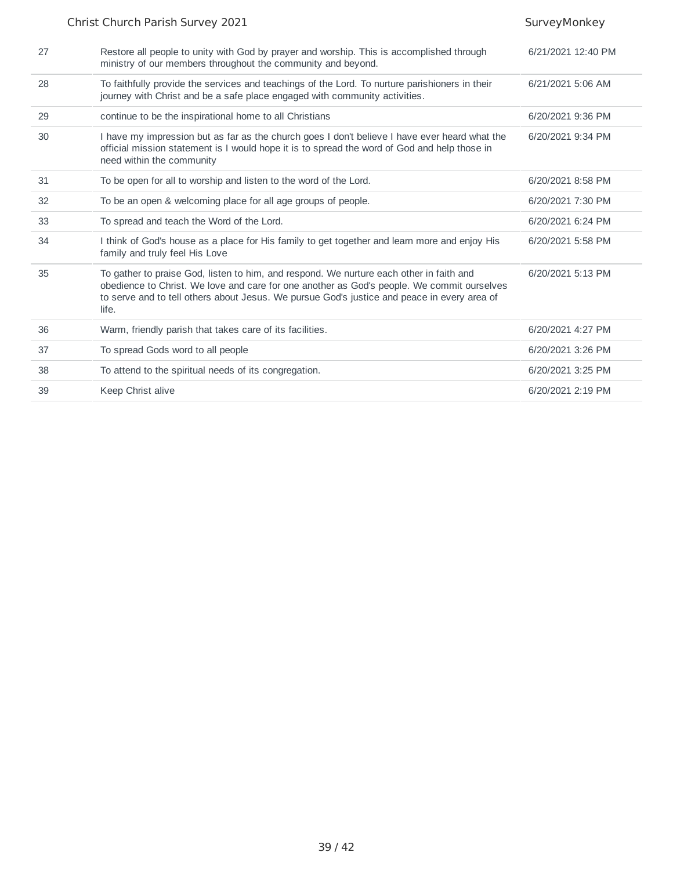|    | Christ Church Parish Survey 2021                                                                                                                                                                                                                                                              | SurveyMonkey       |
|----|-----------------------------------------------------------------------------------------------------------------------------------------------------------------------------------------------------------------------------------------------------------------------------------------------|--------------------|
| 27 | Restore all people to unity with God by prayer and worship. This is accomplished through<br>ministry of our members throughout the community and beyond.                                                                                                                                      | 6/21/2021 12:40 PM |
| 28 | To faithfully provide the services and teachings of the Lord. To nurture parishioners in their<br>journey with Christ and be a safe place engaged with community activities.                                                                                                                  | 6/21/2021 5:06 AM  |
| 29 | continue to be the inspirational home to all Christians                                                                                                                                                                                                                                       | 6/20/2021 9:36 PM  |
| 30 | I have my impression but as far as the church goes I don't believe I have ever heard what the<br>official mission statement is I would hope it is to spread the word of God and help those in<br>need within the community                                                                    | 6/20/2021 9:34 PM  |
| 31 | To be open for all to worship and listen to the word of the Lord.                                                                                                                                                                                                                             | 6/20/2021 8:58 PM  |
| 32 | To be an open & welcoming place for all age groups of people.                                                                                                                                                                                                                                 | 6/20/2021 7:30 PM  |
| 33 | To spread and teach the Word of the Lord.                                                                                                                                                                                                                                                     | 6/20/2021 6:24 PM  |
| 34 | I think of God's house as a place for His family to get together and learn more and enjoy His<br>family and truly feel His Love                                                                                                                                                               | 6/20/2021 5:58 PM  |
| 35 | To gather to praise God, listen to him, and respond. We nurture each other in faith and<br>obedience to Christ. We love and care for one another as God's people. We commit ourselves<br>to serve and to tell others about Jesus. We pursue God's justice and peace in every area of<br>life. | 6/20/2021 5:13 PM  |
| 36 | Warm, friendly parish that takes care of its facilities.                                                                                                                                                                                                                                      | 6/20/2021 4:27 PM  |
| 37 | To spread Gods word to all people                                                                                                                                                                                                                                                             | 6/20/2021 3:26 PM  |
| 38 | To attend to the spiritual needs of its congregation.                                                                                                                                                                                                                                         | 6/20/2021 3:25 PM  |
| 39 | Keep Christ alive                                                                                                                                                                                                                                                                             | 6/20/2021 2:19 PM  |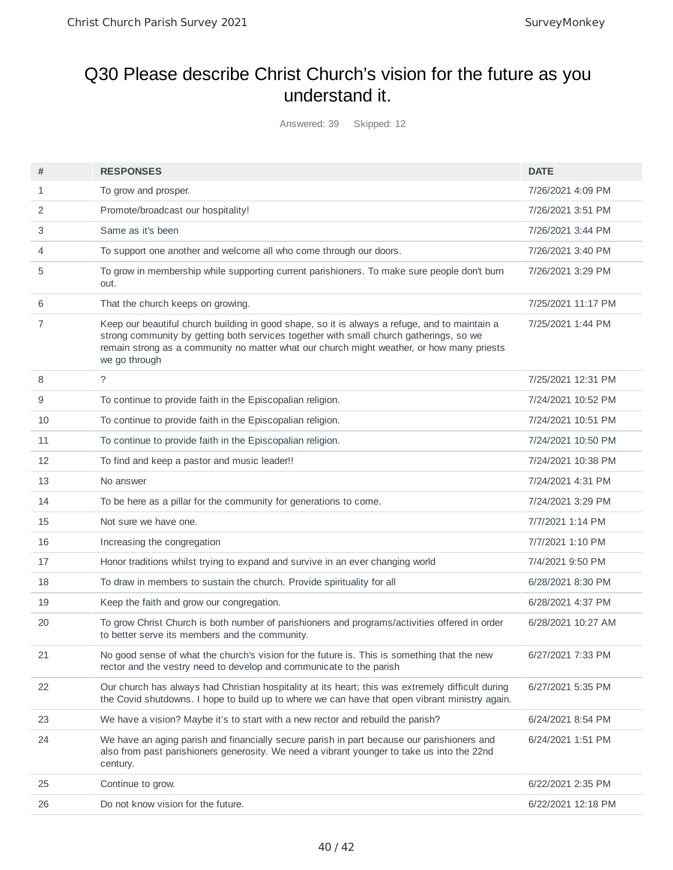#### Q30 Please describe Christ Church's vision for the future as you understand it.

Answered: 39 Skipped: 12

| #  | <b>RESPONSES</b>                                                                                                                                                                                                                                                                                      | <b>DATE</b>        |
|----|-------------------------------------------------------------------------------------------------------------------------------------------------------------------------------------------------------------------------------------------------------------------------------------------------------|--------------------|
| 1  | To grow and prosper.                                                                                                                                                                                                                                                                                  | 7/26/2021 4:09 PM  |
| 2  | Promote/broadcast our hospitality!                                                                                                                                                                                                                                                                    | 7/26/2021 3:51 PM  |
| 3  | Same as it's been                                                                                                                                                                                                                                                                                     | 7/26/2021 3:44 PM  |
| 4  | To support one another and welcome all who come through our doors.                                                                                                                                                                                                                                    | 7/26/2021 3:40 PM  |
| 5  | To grow in membership while supporting current parishioners. To make sure people don't burn<br>out.                                                                                                                                                                                                   | 7/26/2021 3:29 PM  |
| 6  | That the church keeps on growing.                                                                                                                                                                                                                                                                     | 7/25/2021 11:17 PM |
| 7  | Keep our beautiful church building in good shape, so it is always a refuge, and to maintain a<br>strong community by getting both services together with small church gatherings, so we<br>remain strong as a community no matter what our church might weather, or how many priests<br>we go through | 7/25/2021 1:44 PM  |
| 8  | $\tilde{?}$                                                                                                                                                                                                                                                                                           | 7/25/2021 12:31 PM |
| 9  | To continue to provide faith in the Episcopalian religion.                                                                                                                                                                                                                                            | 7/24/2021 10:52 PM |
| 10 | To continue to provide faith in the Episcopalian religion.                                                                                                                                                                                                                                            | 7/24/2021 10:51 PM |
| 11 | To continue to provide faith in the Episcopalian religion.                                                                                                                                                                                                                                            | 7/24/2021 10:50 PM |
| 12 | To find and keep a pastor and music leader!!                                                                                                                                                                                                                                                          | 7/24/2021 10:38 PM |
| 13 | No answer                                                                                                                                                                                                                                                                                             | 7/24/2021 4:31 PM  |
| 14 | To be here as a pillar for the community for generations to come.                                                                                                                                                                                                                                     | 7/24/2021 3:29 PM  |
| 15 | Not sure we have one.                                                                                                                                                                                                                                                                                 | 7/7/2021 1:14 PM   |
| 16 | Increasing the congregation                                                                                                                                                                                                                                                                           | 7/7/2021 1:10 PM   |
| 17 | Honor traditions whilst trying to expand and survive in an ever changing world                                                                                                                                                                                                                        | 7/4/2021 9:50 PM   |
| 18 | To draw in members to sustain the church. Provide spirituality for all                                                                                                                                                                                                                                | 6/28/2021 8:30 PM  |
| 19 | Keep the faith and grow our congregation.                                                                                                                                                                                                                                                             | 6/28/2021 4:37 PM  |
| 20 | To grow Christ Church is both number of parishioners and programs/activities offered in order<br>to better serve its members and the community.                                                                                                                                                       | 6/28/2021 10:27 AM |
| 21 | No good sense of what the church's vision for the future is. This is something that the new<br>rector and the vestry need to develop and communicate to the parish                                                                                                                                    | 6/27/2021 7:33 PM  |
| 22 | Our church has always had Christian hospitality at its heart; this was extremely difficult during<br>the Covid shutdowns. I hope to build up to where we can have that open vibrant ministry again.                                                                                                   | 6/27/2021 5:35 PM  |
| 23 | We have a vision? Maybe it's to start with a new rector and rebuild the parish?                                                                                                                                                                                                                       | 6/24/2021 8:54 PM  |
| 24 | We have an aging parish and financially secure parish in part because our parishioners and<br>also from past parishioners generosity. We need a vibrant younger to take us into the 22nd<br>century.                                                                                                  | 6/24/2021 1:51 PM  |
| 25 | Continue to grow.                                                                                                                                                                                                                                                                                     | 6/22/2021 2:35 PM  |
| 26 | Do not know vision for the future.                                                                                                                                                                                                                                                                    | 6/22/2021 12:18 PM |
|    |                                                                                                                                                                                                                                                                                                       |                    |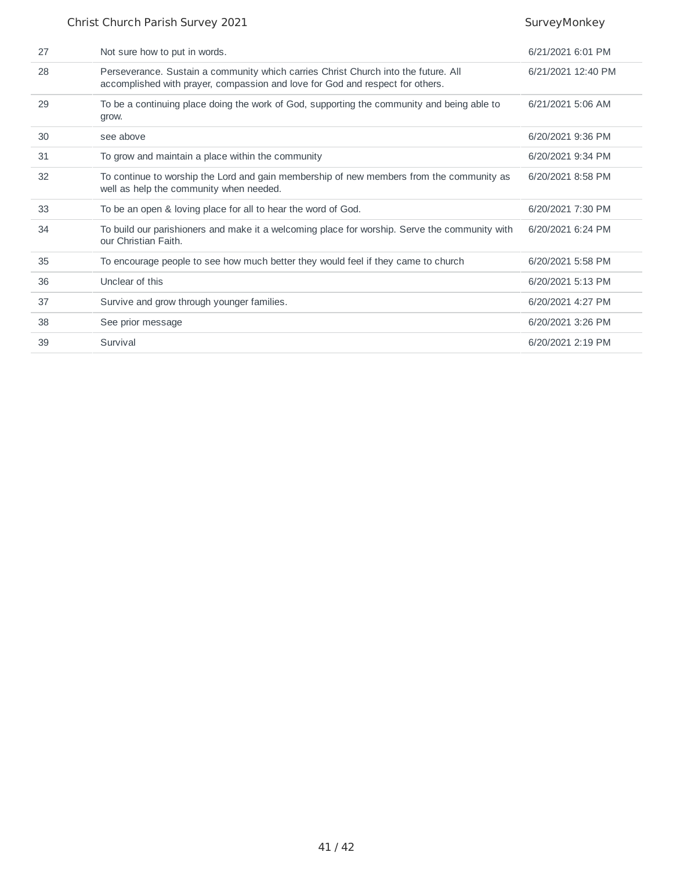| 27 | Not sure how to put in words.                                                                                                                                       | 6/21/2021 6:01 PM  |
|----|---------------------------------------------------------------------------------------------------------------------------------------------------------------------|--------------------|
| 28 | Perseverance. Sustain a community which carries Christ Church into the future. All<br>accomplished with prayer, compassion and love for God and respect for others. | 6/21/2021 12:40 PM |
| 29 | To be a continuing place doing the work of God, supporting the community and being able to<br>grow.                                                                 | 6/21/2021 5:06 AM  |
| 30 | see above                                                                                                                                                           | 6/20/2021 9:36 PM  |
| 31 | To grow and maintain a place within the community                                                                                                                   | 6/20/2021 9:34 PM  |
| 32 | To continue to worship the Lord and gain membership of new members from the community as<br>well as help the community when needed.                                 | 6/20/2021 8:58 PM  |
| 33 | To be an open & loving place for all to hear the word of God.                                                                                                       | 6/20/2021 7:30 PM  |
| 34 | To build our parishioners and make it a welcoming place for worship. Serve the community with<br>our Christian Faith.                                               | 6/20/2021 6:24 PM  |
| 35 | To encourage people to see how much better they would feel if they came to church                                                                                   | 6/20/2021 5:58 PM  |
| 36 | Unclear of this                                                                                                                                                     | 6/20/2021 5:13 PM  |
| 37 | Survive and grow through younger families.                                                                                                                          | 6/20/2021 4:27 PM  |
| 38 | See prior message                                                                                                                                                   | 6/20/2021 3:26 PM  |
| 39 | Survival                                                                                                                                                            | 6/20/2021 2:19 PM  |